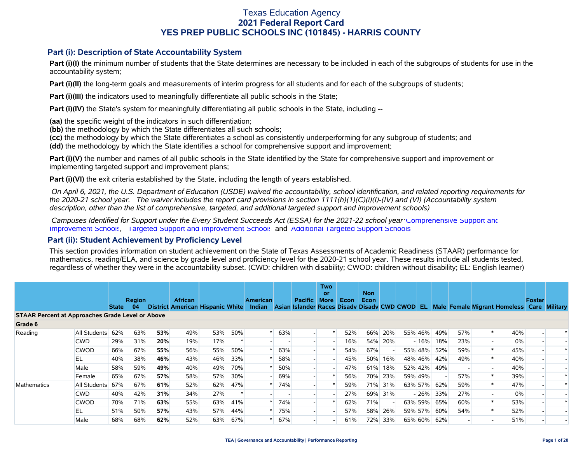#### **Part (i): Description of State Accountability System**

Part (i)(I) the minimum number of students that the State determines are necessary to be included in each of the subgroups of students for use in the accountability system;

**Part (i)(II)** the long-term goals and measurements of interim progress for all students and for each of the subgroups of students;

**Part (i)(III)** the indicators used to meaningfully differentiate all public schools in the State;

**Part (i)(IV)** the State's system for meaningfully differentiating all public schools in the State, including --

**(aa)** the specific weight of the indicators in such differentiation;

**(bb)** the methodology by which the State differentiates all such schools;

**(cc)** the methodology by which the State differentiates a school as consistently underperforming for any subgroup of students; and

**(dd)** the methodology by which the State identifies a school for comprehensive support and improvement;

**Part (i)(V)** the number and names of all public schools in the State identified by the State for comprehensive support and improvement or implementing targeted support and improvement plans;

**Part (i)(VI)** the exit criteria established by the State, including the length of years established.

 *On April 6, 2021, the U.S. Department of Education (USDE) waived the accountability, school identification, and related reporting requirements for the 2020-21 school year. The waiver includes the report card provisions in section 1111(h)(1)(C)(i)(I)-(IV) and (VI) (Accountability system description, other than the list of comprehensive, targeted, and additional targeted support and improvement schools)* 

 *Campuses Identified for Support under the Every Student Succeeds Act (ESSA) for the 2021-22 school year:* [Comprehensive Support and](https://tea.texas.gov/sites/default/files/comprehensive_support_2021.xlsx) [Improvement Schools](https://tea.texas.gov/sites/default/files/comprehensive_support_2021.xlsx), [Targeted Support and Improvement Schools](https://tea.texas.gov/sites/default/files/targeted_support_2021.xlsx) and [Additional Targeted Support Schools.](https://tea.texas.gov/sites/default/files/additional_targeted_support_2021.xlsx)

#### **Part (ii): Student Achievement by Proficiency Level**

This section provides information on student achievement on the State of Texas Assessments of Academic Readiness (STAAR) performance for mathematics, reading/ELA, and science by grade level and proficiency level for the 2020-21 school year. These results include all students tested, regardless of whether they were in the accountability subset. (CWD: children with disability; CWOD: children without disability; EL: English learner)

|                                                         |              |              | <b>Region</b><br>-04 |     | <b>African</b><br><b>District American Hispanic White</b> |     |     | <b>American</b><br><b>Indian</b> |     | <b>Pacific</b><br>Asian Islander Races Disady Disady CWD CWOD | Two<br>or<br><b>More</b> | Econ | <b>Non</b><br><b>Econ</b> |         | EL.     |     |     |                                            | <b>Foster</b> |  |
|---------------------------------------------------------|--------------|--------------|----------------------|-----|-----------------------------------------------------------|-----|-----|----------------------------------|-----|---------------------------------------------------------------|--------------------------|------|---------------------------|---------|---------|-----|-----|--------------------------------------------|---------------|--|
| <b>STAAR Percent at Approaches Grade Level or Above</b> |              | <b>State</b> |                      |     |                                                           |     |     |                                  |     |                                                               |                          |      |                           |         |         |     |     | Male Female Migrant Homeless Care Military |               |  |
| Grade 6                                                 |              |              |                      |     |                                                           |     |     |                                  |     |                                                               |                          |      |                           |         |         |     |     |                                            |               |  |
| Reading                                                 | All Students | 62%          | 63%                  | 53% | 49%                                                       | 53% | 50% | ∗                                | 63% | $\overline{\phantom{a}}$                                      |                          | 52%  | 66%                       | 20%     | 55% 46% | 49% | 57% | 40%                                        |               |  |
|                                                         | <b>CWD</b>   | 29%          | 31%                  | 20% | 19%                                                       | 17% |     |                                  |     |                                                               |                          | 16%  | 54%                       | 20%     | $-16%$  | 18% | 23% | 0%                                         |               |  |
|                                                         | <b>CWOD</b>  | 66%          | 67%                  | 55% | 56%                                                       | 55% | 50% |                                  | 63% |                                                               |                          | 54%  | 67%                       |         | 55% 48% | 52% | 59% | 45%                                        |               |  |
|                                                         | EL           | 40%          | 38%                  | 46% | 43%                                                       | 46% | 33% |                                  | 58% |                                                               |                          | 45%  | 50%                       | 16%     | 48% 46% | 42% | 49% | 40%                                        |               |  |
|                                                         | Male         | 58%          | 59%                  | 49% | 40%                                                       | 49% | 70% |                                  | 50% |                                                               |                          | 47%  | 61%                       | 18%     | 52% 42% | 49% |     | 40%                                        |               |  |
|                                                         | Female       | 65%          | 67%                  | 57% | 58%                                                       | 57% | 30% |                                  | 69% |                                                               |                          | 56%  |                           | 70% 23% | 59% 49% |     | 57% | 39%                                        |               |  |
| Mathematics                                             | All Students | 67%          | 67%                  | 61% | 52%                                                       | 62% | 47% |                                  | 74% |                                                               |                          | 59%  |                           | 71% 31% | 63% 57% | 62% | 59% | 47%                                        |               |  |
|                                                         | <b>CWD</b>   | 40%          | 42%                  | 31% | 34%                                                       | 27% |     |                                  |     |                                                               |                          | 27%  |                           | 69% 31% | $-26%$  | 33% | 27% | 0%                                         |               |  |
|                                                         | <b>CWOD</b>  | 70%          | 71%                  | 63% | 55%                                                       | 63% | 41% |                                  | 74% |                                                               |                          | 62%  | 71%                       |         | 63% 59% | 65% | 60% | 53%                                        |               |  |
|                                                         | EL           | 51%          | 50%                  | 57% | 43%                                                       | 57% | 44% |                                  | 75% |                                                               |                          | 57%  | 58%                       | 26%     | 59% 57% | 60% | 54% | 52%                                        |               |  |
|                                                         | Male         | 68%          | 68%                  | 62% | 52%                                                       | 63% | 67% |                                  | 67% |                                                               |                          | 61%  | 72%                       | 33%     | 65% 60% | 62% |     | 51%                                        |               |  |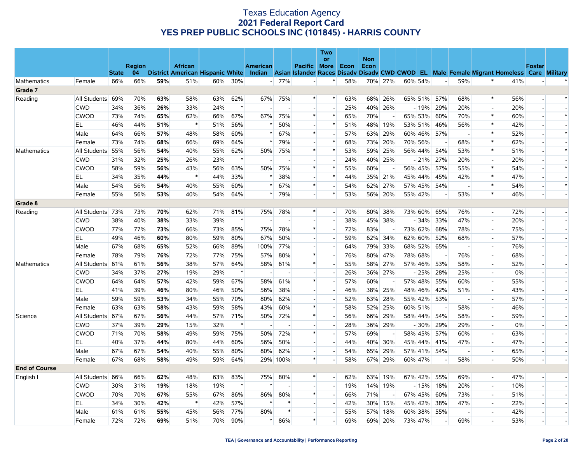|                      |                  |              |               |     |                                  |     |        |                          |          |                          | Two<br>or                |      | <b>Non</b> |         |         |        |                          |     |                              |                                                                                                  |                          |                          |
|----------------------|------------------|--------------|---------------|-----|----------------------------------|-----|--------|--------------------------|----------|--------------------------|--------------------------|------|------------|---------|---------|--------|--------------------------|-----|------------------------------|--------------------------------------------------------------------------------------------------|--------------------------|--------------------------|
|                      |                  |              | <b>Region</b> |     | <b>African</b>                   |     |        | <b>American</b>          |          | Pacific More             |                          | Econ | Econ       |         |         |        |                          |     |                              |                                                                                                  | <b>Foster</b>            |                          |
|                      |                  | <b>State</b> | 04            |     | District American Hispanic White |     |        |                          |          |                          |                          |      |            |         |         |        |                          |     |                              | Indian Asian Islander Races Disady Disady CWD CWOD EL Male Female Migrant Homeless Care Military |                          |                          |
| Mathematics          | Female           | 66%          | 66%           | 59% | 51%                              | 60% | 30%    |                          | $-77%$   |                          | $\ast$                   | 58%  |            | 70% 27% | 60% 54% |        | $\overline{a}$           | 59% | $\ast$                       | 41%                                                                                              |                          |                          |
| Grade 7              |                  |              |               |     |                                  |     |        |                          |          |                          |                          |      |            |         |         |        |                          |     |                              |                                                                                                  |                          |                          |
| Reading              | All Students 69% |              | 70%           | 63% | 58%                              | 63% | 62%    | 67%                      | 75%      | $\ast$                   | $\ast$                   | 63%  | 68%        | 26%     | 65% 51% |        | 57%                      | 68% | $\ast$                       | 56%                                                                                              | $\blacksquare$           | $\ast$                   |
|                      | <b>CWD</b>       | 34%          | 36%           | 26% | 33%                              | 24% | $\ast$ |                          |          |                          | $\overline{\phantom{a}}$ | 25%  |            | 40% 26% |         | $-19%$ | 29%                      | 20% | $\overline{\phantom{a}}$     | 20%                                                                                              |                          |                          |
|                      | <b>CWOD</b>      | 73%          | 74%           | 65% | 62%                              | 66% | 67%    | 67%                      | 75%      | $\ast$                   | $\ast$                   | 65%  | 70%        |         | 65% 53% |        | 60%                      | 70% | $\left\vert \ast\right\vert$ | 60%                                                                                              |                          | $\ast$                   |
|                      | EL               | 46%          | 44%           | 51% | $\ast$                           | 51% | 56%    |                          | 50%      | $\sim$                   | $\ast$                   | 51%  | 48%        | 19%     | 53% 51% |        | 46%                      | 56% | $\ast$                       | 42%                                                                                              |                          |                          |
|                      | Male             | 64%          | 66%           | 57% | 48%                              | 58% | 60%    | $\ast$                   | 67%      | $\ast$                   |                          | 57%  |            | 63% 29% | 60% 46% |        | 57%                      |     | $\ast$                       | 52%                                                                                              |                          | $\ast$                   |
|                      | Female           | 73%          | 74%           | 68% | 66%                              | 69% | 64%    | $\ast$                   | 79%      | $\overline{a}$           | $\ast$                   | 68%  | 73%        | 20%     | 70% 56% |        | $\overline{\phantom{a}}$ | 68% | $\ast$                       | 62%                                                                                              |                          |                          |
| Mathematics          | All Students     | 55%          | 56%           | 54% | 40%                              | 55% | 62%    | 50%                      | 75%      | $\ast$                   | $\ast$                   | 53%  | 59%        | 25%     | 56% 44% |        | 54%                      | 53% | $\ast$                       | 51%                                                                                              |                          | $\ast$                   |
|                      | <b>CWD</b>       | 31%          | 32%           | 25% | 26%                              | 23% | $\ast$ |                          |          |                          |                          | 24%  |            | 40% 25% |         | $-21%$ | 27%                      | 20% | $\sim$                       | 20%                                                                                              | $\overline{a}$           | $\overline{\phantom{a}}$ |
|                      | <b>CWOD</b>      | 58%          | 59%           | 56% | 43%                              | 56% | 63%    | 50%                      | 75%      | $\ast$                   | $\ast$                   | 55%  | 60%        |         | 56% 45% |        | 57%                      | 55% | $\ast$                       | 54%                                                                                              |                          | $\ast$                   |
|                      | ΕL               | 34%          | 35%           | 44% | $\ast$                           | 44% | 33%    |                          | 38%      | $\overline{\phantom{a}}$ | $\ast$                   | 44%  |            | 35% 21% | 45% 44% |        | 45%                      | 42% | $\ast$                       | 47%                                                                                              |                          |                          |
|                      | Male             | 54%          | 56%           | 54% | 40%                              | 55% | 60%    | $\ast$                   | 67%      | $\ast$                   | $\overline{\phantom{a}}$ | 54%  | 62%        | 27%     | 57% 45% |        | 54%                      |     | $\ast$                       | 54%                                                                                              |                          | $\ast$                   |
|                      | Female           | 55%          | 56%           | 53% | 40%                              | 54% | 64%    |                          | * 79%    |                          | $\ast$                   | 53%  |            | 56% 20% | 55% 42% |        |                          | 53% | $\ast$                       | 46%                                                                                              |                          |                          |
| Grade 8              |                  |              |               |     |                                  |     |        |                          |          |                          |                          |      |            |         |         |        |                          |     |                              |                                                                                                  |                          |                          |
| Reading              | All Students 73% |              | 73%           | 70% | 62%                              | 71% | 81%    | 75%                      | 78%      | $\ast$                   | $\overline{\phantom{a}}$ | 70%  |            | 80% 38% | 73% 60% |        | 65%                      | 76% | $\overline{a}$               | 72%                                                                                              |                          |                          |
|                      | <b>CWD</b>       | 38%          | 40%           | 38% | 33%                              | 39% | $\ast$ | $\overline{\phantom{a}}$ |          |                          |                          | 38%  |            | 45% 38% |         | $-34%$ | 33%                      | 47% | $\overline{a}$               | 20%                                                                                              | $\overline{\phantom{a}}$ | $\sim$                   |
|                      | <b>CWOD</b>      | 77%          | 77%           | 73% | 66%                              | 73% | 85%    | 75%                      | 78%      | $\ast$                   |                          | 72%  | 83%        |         | 73% 62% |        | 68%                      | 78% | $\overline{\phantom{a}}$     | 75%                                                                                              |                          |                          |
|                      | EL               | 49%          | 46%           | 60% | 80%                              | 59% | 80%    | 67%                      | 50%      | $\overline{a}$           |                          | 59%  |            | 62% 34% | 62% 60% |        | 52%                      | 68% | $\overline{a}$               | 57%                                                                                              |                          |                          |
|                      | Male             | 67%          | 68%           | 65% | 52%                              | 66% | 89%    | 100%                     | 77%      |                          | $\overline{a}$           | 64%  |            | 79% 33% | 68% 52% |        | 65%                      |     | $\sim$                       | 76%                                                                                              |                          |                          |
|                      | Female           | 78%          | 79%           | 76% | 72%                              | 77% | 75%    | 57%                      | 80%      | $\ast$                   | $\overline{\phantom{a}}$ | 76%  |            | 80% 47% | 78% 68% |        | $\overline{\phantom{a}}$ | 76% | $\overline{a}$               | 68%                                                                                              |                          |                          |
| Mathematics          | All Students 61% |              | 61%           | 56% | 38%                              | 57% | 64%    | 58%                      | 61%      | $\ast$                   |                          | 55%  |            | 58% 27% | 57% 46% |        | 53%                      | 58% | $\overline{\phantom{a}}$     | 52%                                                                                              |                          |                          |
|                      | <b>CWD</b>       | 34%          | 37%           | 27% | 19%                              | 29% | $\ast$ |                          |          |                          |                          | 26%  |            | 36% 27% |         | $-25%$ | 28%                      | 25% | $\overline{a}$               | 0%                                                                                               |                          |                          |
|                      | <b>CWOD</b>      | 64%          | 64%           | 57% | 42%                              | 59% | 67%    | 58%                      | 61%      | $\ast$                   | $\overline{a}$           | 57%  | 60%        |         | 57% 48% |        | 55%                      | 60% | $\overline{a}$               | 55%                                                                                              |                          |                          |
|                      | EL               | 41%          | 39%           | 46% | 80%                              | 46% | 50%    | 56%                      | 38%      |                          |                          | 46%  |            | 38% 25% | 48% 46% |        | 42%                      | 51% | $\overline{\phantom{a}}$     | 43%                                                                                              |                          |                          |
|                      | Male             | 59%          | 59%           | 53% | 34%                              | 55% | 70%    | 80%                      | 62%      | $\overline{a}$           |                          | 52%  | 63%        | 28%     | 55% 42% |        | 53%                      |     | $\overline{a}$               | 57%                                                                                              |                          | $\sim$                   |
|                      | Female           | 63%          | 63%           | 58% | 43%                              | 59% | 58%    | 43%                      | 60%      | $\ast$                   |                          | 58%  |            | 52% 25% | 60% 51% |        |                          | 58% | $\overline{a}$               | 46%                                                                                              |                          |                          |
| Science              | All Students 67% |              | 67%           | 56% | 44%                              | 57% | 71%    | 50%                      | 72%      | $\ast$                   |                          | 56%  | 66%        | 29%     | 58% 44% |        | 54%                      | 58% | $\overline{a}$               | 59%                                                                                              |                          | $\sim$                   |
|                      | <b>CWD</b>       | 37%          | 39%           | 29% | 15%                              | 32% | $\ast$ |                          |          | $\overline{\phantom{a}}$ | $\sim$                   | 28%  | 36%        | 29%     |         | $-30%$ | 29%                      | 29% | $\overline{\phantom{a}}$     | $0\%$                                                                                            |                          |                          |
|                      | <b>CWOD</b>      | 71%          | 70%           | 58% | 49%                              | 59% | 75%    | 50%                      | 72%      | $\ast$                   |                          | 57%  | 69%        |         | 58% 45% |        | 57%                      | 60% | $\overline{a}$               | 63%                                                                                              |                          |                          |
|                      | EL               | 40%          | 37%           | 44% | 80%                              | 44% | 60%    | 56%                      | 50%      | $\sim$                   | $\overline{a}$           | 44%  | 40%        | 30%     | 45% 44% |        | 41%                      | 47% | $\overline{a}$               | 47%                                                                                              |                          |                          |
|                      | Male             | 67%          | 67%           | 54% | 40%                              | 55% | 80%    | 80%                      | 62%      |                          |                          | 54%  |            | 65% 29% | 57% 41% |        | 54%                      |     | $\overline{\phantom{a}}$     | 65%                                                                                              |                          |                          |
|                      | Female           | 67%          | 68%           | 58% | 49%                              | 59% | 64%    |                          | 29% 100% | $\ast$                   | $\sim$                   | 58%  |            | 67% 29% | 60% 47% |        | $\blacksquare$           | 58% | $\overline{a}$               | 50%                                                                                              | $\overline{a}$           | $\overline{\phantom{a}}$ |
| <b>End of Course</b> |                  |              |               |     |                                  |     |        |                          |          |                          |                          |      |            |         |         |        |                          |     |                              |                                                                                                  |                          |                          |
| English I            | All Students 66% |              | 66%           | 62% | 48%                              | 63% | 83%    | 75%                      | 80%      | $\ast$                   | $\overline{a}$           | 62%  | 63%        | 19%     | 67% 42% |        | 55%                      | 69% | $\sim$                       | 47%                                                                                              | $\overline{a}$           |                          |
|                      | <b>CWD</b>       | 30%          | 31%           | 19% | 18%                              | 19% | $\ast$ | $\ast$                   |          |                          | $\overline{\phantom{a}}$ | 19%  |            | 14% 19% |         | $-15%$ | 18%                      | 20% | $\overline{a}$               | 10%                                                                                              |                          |                          |
|                      | <b>CWOD</b>      | 70%          | 70%           | 67% | 55%                              | 67% | 86%    | 86%                      | 80%      | $\ast$                   |                          | 66%  | 71%        |         | 67% 45% |        | 60%                      | 73% | $\overline{a}$               | 51%                                                                                              |                          |                          |
|                      | EL               | 34%          | 30%           | 42% | $\ast$                           | 42% | 57%    | $\ast$                   |          |                          | $\overline{a}$           | 42%  |            | 30% 15% | 45% 42% |        | 38%                      | 47% | $\sim$                       | 22%                                                                                              |                          |                          |
|                      | Male             | 61%          | 61%           | 55% | 45%                              | 56% | 77%    | 80%                      | $\ast$   |                          |                          | 55%  | 57%        | 18%     | 60% 38% |        | 55%                      |     | $\overline{\phantom{a}}$     | 42%                                                                                              |                          |                          |
|                      | Female           | 72%          | 72%           | 69% | 51%                              | 70% | 90%    |                          | $* 86%$  | $\ast$                   | $\overline{a}$           | 69%  |            | 69% 20% | 73% 47% |        | $\overline{\phantom{a}}$ | 69% | $\overline{a}$               | 53%                                                                                              |                          |                          |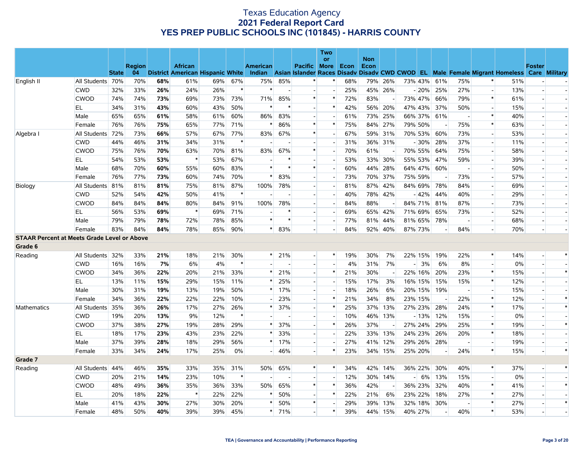|                                                    |                  |              |               |     |                                     |     |        |                              |                |                          | <b>Two</b><br>or         |      | <b>Non</b> |         |         |     |                                                                                                  |                                 |                |        |
|----------------------------------------------------|------------------|--------------|---------------|-----|-------------------------------------|-----|--------|------------------------------|----------------|--------------------------|--------------------------|------|------------|---------|---------|-----|--------------------------------------------------------------------------------------------------|---------------------------------|----------------|--------|
|                                                    |                  |              | <b>Region</b> |     | <b>African</b>                      |     |        | <b>American</b>              |                | <b>Pacific More</b>      |                          | Econ | Econ       |         |         |     |                                                                                                  |                                 | <b>Foster</b>  |        |
|                                                    |                  | <b>State</b> |               |     | 04 District American Hispanic White |     |        |                              |                |                          |                          |      |            |         |         |     | Indian Asian Islander Races Disadv Disadv CWD CWOD EL Male Female Migrant Homeless Care Military |                                 |                |        |
| English II                                         | All Students 70% |              | 70%           | 68% | 61%                                 | 69% | 67%    | 75%                          | 85%            | *                        | ∗                        | 68%  | 79%        | 26%     | 73% 43% | 61% | 75%                                                                                              | $\ast$<br>51%                   |                |        |
|                                                    | <b>CWD</b>       | 32%          | 33%           | 26% | 24%                                 | 26% | $\ast$ | $\ast$                       | $\sim$         | $\sim$                   |                          | 25%  |            | 45% 26% | $-20%$  | 25% | 27%                                                                                              | 13%<br>$\overline{\phantom{a}}$ | $\overline{a}$ |        |
|                                                    | <b>CWOD</b>      | 74%          | 74%           | 73% | 69%                                 | 73% | 73%    | 71%                          | 85%            | $\ast$                   | $\ast$                   | 72%  | 83%        |         | 73% 47% | 66% | 79%                                                                                              | $\ast$<br>61%                   |                |        |
|                                                    | EL               | 34%          | 31%           | 43% | 60%                                 | 43% | 50%    | $\ast$                       | $\ast$         | $\sim$                   | $\ast$                   | 42%  |            | 56% 20% | 47% 43% | 37% | 50%                                                                                              | 15%<br>$\sim$                   |                |        |
|                                                    | Male             | 65%          | 65%           | 61% | 58%                                 | 61% | 60%    | 86%                          | 83%            | $\overline{\phantom{a}}$ |                          | 61%  |            | 73% 25% | 66% 37% | 61% |                                                                                                  | $\ast$<br>40%                   |                |        |
|                                                    | Female           | 76%          | 76%           | 75% | 65%                                 | 77% | 71%    |                              | 86%            | $\ast$                   | $\ast$                   | 75%  |            | 84% 27% | 79% 50% |     | 75%                                                                                              | $\ast$<br>63%                   |                |        |
| Algebra I                                          | All Students 72% |              | 73%           | 66% | 57%                                 | 67% | 77%    | 83%                          | 67%            | $\ast$                   |                          | 67%  |            | 59% 31% | 70% 53% | 60% | 73%                                                                                              | 53%<br>$\blacksquare$           |                |        |
|                                                    | <b>CWD</b>       | 44%          | 46%           | 31% | 34%                                 | 31% | $\ast$ |                              | $\overline{a}$ | $\overline{a}$           | $\overline{a}$           | 31%  |            | 36% 31% | $-30%$  | 28% | 37%                                                                                              | 11%<br>$\sim$                   |                |        |
|                                                    | <b>CWOD</b>      | 75%          | 76%           | 70% | 63%                                 | 70% | 81%    | 83%                          | 67%            | $\ast$                   |                          | 70%  | 61%        |         | 70% 55% | 64% | 75%                                                                                              | 58%<br>$\overline{\phantom{a}}$ |                |        |
|                                                    | EL               | 54%          | 53%           | 53% | $\ast$                              | 53% | 67%    |                              |                | $\overline{a}$           |                          | 53%  |            | 33% 30% | 55% 53% | 47% | 59%                                                                                              | 39%<br>$\overline{a}$           |                |        |
|                                                    | Male             | 68%          | 70%           | 60% | 55%                                 | 60% | 83%    | $\ast$                       | $\ast$         | $\ast$                   |                          | 60%  |            | 44% 28% | 64% 47% | 60% |                                                                                                  | 50%<br>$\overline{\phantom{a}}$ |                |        |
|                                                    | Female           | 76%          | 77%           | 73% | 60%                                 | 74% | 70%    | $\ast$                       | 83%            | $\sim$                   | $\sim$                   | 73%  |            | 70% 37% | 75% 59% |     | 73%                                                                                              | 57%<br>$\overline{\phantom{a}}$ |                |        |
| Biology                                            | All Students 81% |              | 81%           | 81% | 75%                                 | 81% | 87%    | 100%                         | 78%            | $\overline{\phantom{a}}$ | $\overline{a}$           | 81%  | 87%        | 42%     | 84% 69% | 78% | 84%                                                                                              | 69%<br>$\blacksquare$           |                |        |
|                                                    | <b>CWD</b>       | 52%          | 54%           | 42% | 50%                                 | 41% | $\ast$ |                              | $\overline{a}$ | $\overline{a}$           | ш.                       | 40%  |            | 78% 42% | $-42%$  | 44% | 40%                                                                                              | 29%<br>$\overline{a}$           |                |        |
|                                                    | <b>CWOD</b>      | 84%          | 84%           | 84% | 80%                                 | 84% | 91%    | 100%                         | 78%            | $\overline{\phantom{a}}$ | $\overline{a}$           | 84%  | 88%        |         | 84% 71% | 81% | 87%                                                                                              | 73%<br>$\overline{\phantom{a}}$ |                |        |
|                                                    | EL               | 56%          | 53%           | 69% | $\ast$                              | 69% | 71%    |                              |                | $\sim$                   | $\overline{a}$           | 69%  |            | 65% 42% | 71% 69% | 65% | 73%                                                                                              | $\overline{a}$<br>52%           |                |        |
|                                                    | Male             | 79%          | 79%           | 78% | 72%                                 | 78% | 85%    | $\ast$                       | $\ast$         | $\overline{\phantom{a}}$ | $\overline{a}$           | 77%  |            | 81% 44% | 81% 65% | 78% |                                                                                                  | 68%<br>$\overline{\phantom{a}}$ |                |        |
|                                                    | Female           | 83%          | 84%           | 84% | 78%                                 | 85% | 90%    | $\ast$                       | 83%            | $\mathbf{r}$             | $\overline{\phantom{a}}$ | 84%  |            | 92% 40% | 87% 73% |     | 84%                                                                                              | 70%<br>$\overline{a}$           |                |        |
| <b>STAAR Percent at Meets Grade Level or Above</b> |                  |              |               |     |                                     |     |        |                              |                |                          |                          |      |            |         |         |     |                                                                                                  |                                 |                |        |
| Grade 6                                            |                  |              |               |     |                                     |     |        |                              |                |                          |                          |      |            |         |         |     |                                                                                                  |                                 |                |        |
| Reading                                            | All Students 32% |              | 33%           | 21% | 18%                                 | 21% | 30%    |                              | $*$ 21%        | $\overline{\phantom{a}}$ | $\ast$                   | 19%  | 30%        | 7%      | 22% 15% | 19% | 22%                                                                                              | $\ast$<br>14%                   |                | *      |
|                                                    | <b>CWD</b>       | 16%          | 16%           | 7%  | 6%                                  | 4%  | $\ast$ |                              |                | $\overline{\phantom{a}}$ |                          | 4%   | 31%        | 7%      | $-13%$  | 6%  | 8%                                                                                               | 0%<br>$\overline{\phantom{a}}$  |                |        |
|                                                    | <b>CWOD</b>      | 34%          | 36%           | 22% | 20%                                 | 21% | 33%    | $\ast$                       | 21%            | $\overline{a}$           | $\ast$                   | 21%  | 30%        |         | 22% 16% | 20% | 23%                                                                                              | $\ast$<br>15%                   |                | $\ast$ |
|                                                    | ΕL               | 13%          | 11%           | 15% | 29%                                 | 15% | 11%    | $\ast$                       | 25%            | $\blacksquare$           |                          | 15%  | 17%        | 3%      | 16% 15% | 15% | 15%                                                                                              | $\ast$<br>12%                   |                |        |
|                                                    | Male             | 30%          | 31%           | 19% | 13%                                 | 19% | 50%    | $\ast$                       | 17%            | $\overline{a}$           |                          | 18%  | 26%        | 6%      | 20% 15% | 19% |                                                                                                  | 15%<br>$\sim$                   |                |        |
|                                                    | Female           | 34%          | 36%           | 22% | 22%                                 | 22% | 10%    |                              | 23%            | $\overline{a}$           | $\ast$                   | 21%  | 34%        | 8%      | 23% 15% |     | 22%                                                                                              | $\ast$<br>12%                   |                | $\ast$ |
| Mathematics                                        | All Students     | 35%          | 36%           | 26% | 17%                                 | 27% | 26%    | $\left\vert \ast\right\vert$ | 37%            | $\overline{\phantom{a}}$ | $\ast$                   | 25%  |            | 37% 13% | 27% 23% | 28% | 24%                                                                                              | $\ast$<br>17%                   |                | $\ast$ |
|                                                    | <b>CWD</b>       | 19%          | 20%           | 13% | 9%                                  | 12% | $\ast$ |                              |                | $\overline{\phantom{a}}$ |                          | 10%  |            | 46% 13% | $-13%$  | 12% | 15%                                                                                              | 0%<br>$\bar{\phantom{a}}$       |                |        |
|                                                    | <b>CWOD</b>      | 37%          | 38%           | 27% | 19%                                 | 28% | 29%    | $\ast$                       | 37%            | $\overline{a}$           | $\ast$                   | 26%  | 37%        |         | 27% 24% | 29% | 25%                                                                                              | $\ast$<br>19%                   |                | $\ast$ |
|                                                    | EL               | 18%          | 17%           | 23% | 43%                                 | 23% | 22%    | $\ast$                       | 33%            | $\overline{\phantom{a}}$ |                          | 22%  |            | 33% 13% | 24% 23% | 26% | 20%                                                                                              | $\ast$<br>18%                   |                |        |
|                                                    | Male             | 37%          | 39%           | 28% | 18%                                 | 29% | 56%    |                              | $*$ 17%        | $\overline{\phantom{0}}$ |                          | 27%  |            | 41% 12% | 29% 26% | 28% |                                                                                                  | 19%<br>$\overline{\phantom{a}}$ |                |        |
|                                                    | Female           | 33%          | 34%           | 24% | 17%                                 | 25% | 0%     |                              | $-46%$         | $\blacksquare$           | $\ast$                   | 23%  |            | 34% 15% | 25% 20% |     | 24%                                                                                              | $\ast$<br>15%                   |                | $\ast$ |
| Grade 7                                            |                  |              |               |     |                                     |     |        |                              |                |                          |                          |      |            |         |         |     |                                                                                                  |                                 |                |        |
| Reading                                            | All Students     | 44%          | 46%           | 35% | 33%                                 | 35% | 31%    | 50%                          | 65%            | $\ast$                   | $\ast$                   | 34%  |            | 42% 14% | 36% 22% | 30% | 40%                                                                                              | $\ast$<br>37%                   |                | $\ast$ |
|                                                    | <b>CWD</b>       | 20%          | 21%           | 14% | 23%                                 | 10% | $\ast$ |                              | $\sim$         | $\sim$                   |                          | 12%  |            | 30% 14% | $- 6%$  | 13% | 15%                                                                                              | 0%<br>$\sim$                    |                |        |
|                                                    | <b>CWOD</b>      | 48%          | 49%           | 36% | 35%                                 | 36% | 33%    | 50%                          | 65%            | $\ast$                   | $\ast$                   | 36%  | 42%        |         | 36% 23% | 32% | 40%                                                                                              | $\ast$<br>41%                   |                | $\ast$ |
|                                                    | EL               | 20%          | 18%           | 22% | $\ast$                              | 22% | 22%    |                              | 50%            | $\sim$                   | $\ast$                   | 22%  | 21%        | 6%      | 23% 22% | 18% | 27%                                                                                              | $\ast$<br>27%                   |                |        |
|                                                    | Male             | 41%          | 43%           | 30% | 27%                                 | 30% | 20%    | $\ast$                       | 50%            | $\ast$                   |                          | 29%  |            | 39% 13% | 32% 18% | 30% |                                                                                                  | $\ast$<br>27%                   |                | $\ast$ |
|                                                    | Female           | 48%          | 50%           | 40% | 39%                                 | 39% | 45%    |                              | $*$ 71%        | $\overline{a}$           | $\ast$                   | 39%  |            | 44% 15% | 40% 27% |     | 40%                                                                                              | $\ast$<br>53%                   |                |        |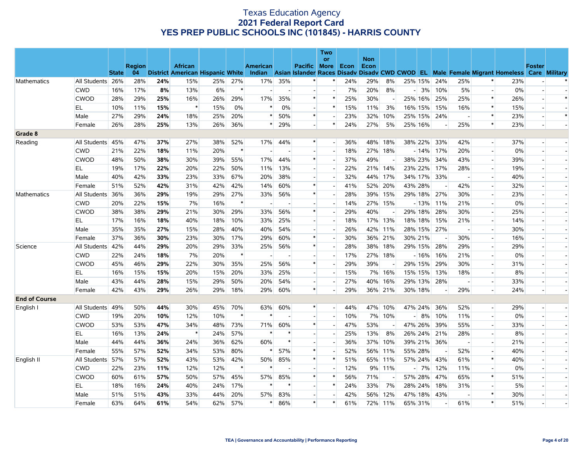|                      |                  |              |               |     |                                  |     |        |                                    |         |                          | Two<br><b>or</b> |      | <b>Non</b> |         |         |                          |        |                          |                                                               |                |        |
|----------------------|------------------|--------------|---------------|-----|----------------------------------|-----|--------|------------------------------------|---------|--------------------------|------------------|------|------------|---------|---------|--------------------------|--------|--------------------------|---------------------------------------------------------------|----------------|--------|
|                      |                  |              | <b>Region</b> |     | <b>African</b>                   |     |        | <b>American</b>                    |         | Pacific More             |                  | Econ | Econ       |         |         |                          |        |                          |                                                               | <b>Foster</b>  |        |
|                      |                  | <b>State</b> | 04            |     | District American Hispanic White |     |        | Indian Asian Islander Races Disadv |         |                          |                  |      |            |         |         |                          |        |                          | Disady CWD CWOD EL Male Female Migrant Homeless Care Military |                |        |
| <b>Mathematics</b>   | All Students 26% |              | 28%           | 24% | 15%                              | 25% | 27%    | 17%                                | 35%     | $\ast$                   | $\ast$           | 24%  | 29%        | 8%      | 25% 15% | 24%                      | 25%    | $\ast$                   | 23%                                                           |                |        |
|                      | <b>CWD</b>       | 16%          | 17%           | 8%  | 13%                              | 6%  | $\ast$ |                                    |         |                          |                  | 7%   | 20%        | 8%      | 3%      | 10%                      | 5%     | $\blacksquare$           | 0%                                                            |                |        |
|                      | <b>CWOD</b>      | 28%          | 29%           | 25% | 16%                              | 26% | 29%    | 17%                                | 35%     | $\ast$                   | $\ast$           | 25%  | 30%        |         | 25% 16% | 25%                      | 25%    | $\ast$                   | 26%                                                           |                | $\ast$ |
|                      | EL               | 10%          | 11%           | 15% | $\ast$                           | 15% | 0%     | $\ast$                             | 0%      | $\overline{\phantom{a}}$ |                  | 15%  | 11%        | 3%      | 16% 15% | 15%                      | 16%    | $\ast$                   | 15%                                                           |                |        |
|                      | Male             | 27%          | 29%           | 24% | 18%                              | 25% | 20%    | $\ast$                             | 50%     | $\ast$                   |                  | 23%  | 32%        | 10%     | 25% 15% | 24%                      |        | $\ast$                   | 23%                                                           |                | $\ast$ |
|                      | Female           | 26%          | 28%           | 25% | 13%                              | 26% | 36%    | $\ast$                             | 29%     | $\blacksquare$           | $\ast$           | 24%  | 27%        | 5%      | 25% 16% | $\overline{\phantom{a}}$ | 25%    | $\ast$                   | 23%                                                           | $\overline{a}$ |        |
| Grade 8              |                  |              |               |     |                                  |     |        |                                    |         |                          |                  |      |            |         |         |                          |        |                          |                                                               |                |        |
| Reading              | All Students 45% |              | 47%           | 37% | 27%                              | 38% | 52%    | 17%                                | 44%     | $\ast$                   | $\overline{a}$   | 36%  | 48%        | 18%     | 38% 22% | 33%                      | 42%    | $\overline{\phantom{a}}$ | 37%                                                           |                |        |
|                      | <b>CWD</b>       | 21%          | 22%           | 18% | 11%                              | 20% | $\ast$ |                                    |         | $\overline{\phantom{a}}$ |                  | 18%  | 27%        | 18%     | $-14%$  | 17%                      | 20%    | $\overline{a}$           | 0%                                                            |                |        |
|                      | <b>CWOD</b>      | 48%          | 50%           | 38% | 30%                              | 39% | 55%    | 17%                                | 44%     | $\ast$                   |                  | 37%  | 49%        |         | 38% 23% | 34%                      | 43%    | $\overline{\phantom{a}}$ | 39%                                                           |                |        |
|                      | EL               | 19%          | 17%           | 22% | 20%                              | 22% | 50%    | 11%                                | 13%     | $\sim$                   |                  | 22%  | 21%        | 14%     | 23% 22% | 17%                      | 28%    | $\overline{\phantom{a}}$ | 19%                                                           | $\overline{a}$ |        |
|                      | Male             | 40%          | 42%           | 33% | 23%                              | 33% | 67%    | 20%                                | 38%     |                          |                  | 32%  |            | 44% 17% | 34% 17% | 33%                      |        |                          | 40%                                                           |                |        |
|                      | Female           | 51%          | 52%           | 42% | 31%                              | 42% | 42%    | 14%                                | 60%     | $\ast$                   |                  | 41%  | 52%        | 20%     | 43% 28% |                          | 42%    | $\overline{a}$           | 32%                                                           |                |        |
| Mathematics          | All Students     | 36%          | 36%           | 29% | 19%                              | 29% | 27%    | 33%                                | 56%     | $\ast$                   |                  | 28%  | 39%        | 15%     | 29% 18% | 27%                      | 30%    | $\overline{\phantom{0}}$ | 23%                                                           |                |        |
|                      | <b>CWD</b>       | 20%          | 22%           | 15% | 7%                               | 16% | $\ast$ |                                    |         |                          |                  | 14%  | 27%        | 15%     | $-13%$  | 11%                      | 21%    |                          | 0%                                                            |                |        |
|                      | <b>CWOD</b>      | 38%          | 38%           | 29% | 21%                              | 30% | 29%    | 33%                                | 56%     | $\ast$                   |                  | 29%  | 40%        |         | 29% 18% | 28%                      | 30%    | $\left  - \right $       | 25%                                                           |                |        |
|                      | EL               | 17%          | 16%           | 18% | 40%                              | 18% | 10%    | 33%                                | 25%     |                          |                  | 18%  |            | 17% 13% | 18% 18% | 15%                      | 21%    |                          | 14%                                                           |                |        |
|                      | Male             | 35%          | 35%           | 27% | 15%                              | 28% | 40%    | 40%                                | 54%     | $\overline{\phantom{a}}$ |                  | 26%  | 42%        | 11%     | 28% 15% | 27%                      |        | $\overline{a}$           | 30%                                                           |                |        |
|                      | Female           | 37%          | 36%           | 30% | 23%                              | 30% | 17%    | 29%                                | 60%     | $\ast$                   |                  | 30%  |            | 36% 21% | 30% 21% |                          | 30%    | $\overline{a}$           | 16%                                                           |                |        |
| Science              | All Students 42% |              | 44%           | 29% | 20%                              | 29% | 33%    | 25%                                | 56%     | $\ast$                   |                  | 28%  | 38%        | 18%     | 29% 15% | 28%                      | 29%    | $\overline{\phantom{a}}$ | 29%                                                           |                |        |
|                      | <b>CWD</b>       | 22%          | 24%           | 18% | 7%                               | 20% | $\ast$ | $\sim$                             |         | $\blacksquare$           |                  | 17%  | 27%        | 18%     | $-16%$  | 16%                      | 21%    | $\overline{a}$           | 0%                                                            | $\overline{a}$ |        |
|                      | <b>CWOD</b>      | 45%          | 46%           | 29% | 22%                              | 30% | 35%    | 25%                                | 56%     | $\ast$                   |                  | 29%  | 39%        |         | 29% 15% | 29%                      | 30%    |                          | 31%                                                           |                |        |
|                      | EL               | 16%          | 15%           | 15% | 20%                              | 15% | 20%    | 33%                                | 25%     | $\overline{\phantom{0}}$ |                  | 15%  | 7%         | 16%     | 15% 15% | 13%                      | 18%    | $\overline{a}$           | 8%                                                            |                |        |
|                      | Male             | 43%          | 44%           | 28% | 15%                              | 29% | 50%    | 20%                                | 54%     | $\overline{\phantom{a}}$ |                  | 27%  | 40%        | 16%     | 29% 13% | 28%                      |        | $\overline{a}$           | 33%                                                           |                |        |
|                      | Female           | 42%          | 43%           | 29% | 26%                              | 29% | 18%    | 29%                                | 60%     | $\ast$                   |                  | 29%  |            | 36% 21% | 30% 18% |                          | 29%    |                          | 24%                                                           |                |        |
| <b>End of Course</b> |                  |              |               |     |                                  |     |        |                                    |         |                          |                  |      |            |         |         |                          |        |                          |                                                               |                |        |
| English I            | All Students 49% |              | 50%           | 44% | 30%                              | 45% | 70%    | 63%                                | 60%     | $\ast$                   |                  | 44%  | 47%        | 10%     | 47% 24% | 36%                      | 52%    | $\overline{a}$           | 29%                                                           |                |        |
|                      | <b>CWD</b>       | 19%          | 20%           | 10% | 12%                              | 10% | $\ast$ | $\ast$                             |         | $\overline{\phantom{a}}$ |                  | 10%  | 7%         | 10%     | $-8%$   | 10%                      | 11%    | $\overline{\phantom{a}}$ | 0%                                                            |                |        |
|                      | <b>CWOD</b>      | 53%          | 53%           | 47% | 34%                              | 48% | 73%    | 71%                                | 60%     | $\ast$                   |                  | 47%  | 53%        |         | 47% 26% | 39%                      | 55%    | $\overline{a}$           | 33%                                                           |                |        |
|                      | EL               | 16%          | 13%           | 24% | $\ast$                           | 24% | 57%    | $\ast$                             |         |                          |                  | 25%  | 13%        | 8%      | 26% 24% | 21%                      | 28%    |                          | 8%                                                            |                |        |
|                      | Male             | 44%          | 44%           | 36% | 24%                              | 36% | 62%    | 60%                                | $\ast$  | $\blacksquare$           |                  | 36%  | 37%        | 10%     | 39% 21% | 36%                      | $\sim$ | $\overline{\phantom{a}}$ | 21%                                                           |                |        |
|                      | Female           | 55%          | 57%           | 52% | 34%                              | 53% | 80%    | $\ast$                             | 57%     | $\ast$                   |                  | 52%  |            | 56% 11% | 55% 28% |                          | 52%    |                          | 40%                                                           |                |        |
| English II           | All Students 57% |              | 57%           | 52% | 43%                              | 53% | 42%    | 50%                                | 85%     | $\ast$                   | $\ast$           | 51%  | 65%        | 11%     | 57% 24% | 43%                      | 61%    | $\ast$                   | 40%                                                           |                |        |
|                      | <b>CWD</b>       | 22%          | 23%           | 11% | 12%                              | 12% | $\ast$ | $\ast$                             |         | $\blacksquare$           |                  | 12%  |            | 9% 11%  | $-17%$  | 12%                      | 11%    | $\overline{a}$           | 0%                                                            |                |        |
|                      | <b>CWOD</b>      | 60%          | 61%           | 57% | 50%                              | 57% | 45%    | 57%                                | 85%     | $\ast$                   |                  | 56%  | 71%        |         | 57% 28% | 47%                      | 65%    | $\ast$                   | 51%                                                           |                |        |
|                      | EL               | 18%          | 16%           | 24% | 40%                              | 24% | 17%    | $\ast$                             | $\ast$  | $\blacksquare$           | $\ast$           | 24%  | 33%        | 7%      | 28% 24% | 18%                      | 31%    |                          | 5%                                                            |                |        |
|                      | Male             | 51%          | 51%           | 43% | 33%                              | 44% | 20%    | 57%                                | 83%     |                          |                  | 42%  | 56%        | 12%     | 47% 18% | 43%                      |        | $\ast$                   | 30%                                                           |                |        |
|                      | Female           | 63%          | 64%           | 61% | 54%                              | 62% | 57%    |                                    | $* 86%$ | $\ast$                   | $\ast$           | 61%  |            | 72% 11% | 65% 31% |                          | 61%    | $\ast$                   | 51%                                                           |                |        |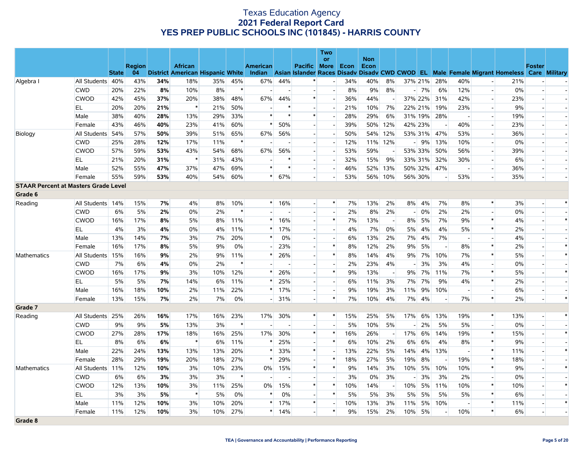|                                             |                  |              |               |     |                                  |     |        |                 |         |                          | <b>Two</b>               |      |                    |         |         |        |                          |                          |                             |                                                                                                  |                          |                |
|---------------------------------------------|------------------|--------------|---------------|-----|----------------------------------|-----|--------|-----------------|---------|--------------------------|--------------------------|------|--------------------|---------|---------|--------|--------------------------|--------------------------|-----------------------------|--------------------------------------------------------------------------------------------------|--------------------------|----------------|
|                                             |                  |              | <b>Region</b> |     | <b>African</b>                   |     |        | <b>American</b> |         | Pacific More             | <b>or</b>                | Econ | <b>Non</b><br>Econ |         |         |        |                          |                          |                             |                                                                                                  | <b>Foster</b>            |                |
|                                             |                  | <b>State</b> | 04            |     | District American Hispanic White |     |        |                 |         |                          |                          |      |                    |         |         |        |                          |                          |                             | Indian Asian Islander Races Disady Disady CWD CWOD EL Male Female Migrant Homeless Care Military |                          |                |
| Algebra I                                   | All Students 40% |              | 43%           | 34% | 18%                              | 35% | 45%    | 67%             | 44%     | $\ast$                   | $\overline{a}$           | 34%  | 40%                | 8%      | 37% 21% |        | 28%                      | 40%                      | $\mathcal{L}_{\mathcal{A}}$ | 21%                                                                                              | $\overline{a}$           |                |
|                                             | <b>CWD</b>       | 20%          | 22%           | 8%  | 10%                              | 8%  | $\ast$ |                 |         |                          |                          | 8%   | 9%                 | 8%      |         | $- 7%$ | 6%                       | 12%                      | $\overline{a}$              | 0%                                                                                               | $\overline{\phantom{a}}$ |                |
|                                             | <b>CWOD</b>      | 42%          | 45%           | 37% | 20%                              | 38% | 48%    | 67%             | 44%     | $\ast$                   | $\overline{a}$           | 36%  | 44%                |         | 37% 22% |        | 31%                      | 42%                      | $\overline{a}$              | 23%                                                                                              |                          |                |
|                                             | EL               | 20%          | 20%           | 21% | $\ast$                           | 21% | 50%    |                 |         |                          | $\overline{\phantom{a}}$ | 21%  | 10%                | 7%      | 22% 21% |        | 19%                      | 23%                      | $\overline{a}$              | 9%                                                                                               |                          |                |
|                                             | Male             | 38%          | 40%           | 28% | 13%                              | 29% | 33%    | $\ast$          | $\ast$  | $\ast$                   | $\sim$                   | 28%  | 29%                | 6%      | 31% 19% |        | 28%                      | $\overline{\phantom{a}}$ | $\overline{a}$              | 19%                                                                                              |                          |                |
|                                             | Female           | 43%          | 46%           | 40% | 23%                              | 41% | 60%    | $\ast$          | 50%     | $\overline{a}$           |                          | 39%  | 50%                | 12%     | 42% 23% |        |                          | 40%                      | $\overline{a}$              | 23%                                                                                              |                          |                |
| Biology                                     | All Students 54% |              | 57%           | 50% | 39%                              | 51% | 65%    | 67%             | 56%     | $\sim$                   | $\overline{a}$           | 50%  | 54%                | 12%     | 53% 31% |        | 47%                      | 53%                      | $\overline{a}$              | 36%                                                                                              |                          |                |
|                                             | <b>CWD</b>       | 25%          | 28%           | 12% | 17%                              | 11% | $\ast$ |                 |         |                          |                          | 12%  |                    | 11% 12% |         | $-19%$ | 13%                      | 10%                      | $\overline{a}$              | 0%                                                                                               |                          |                |
|                                             | <b>CWOD</b>      | 57%          | 59%           | 53% | 43%                              | 54% | 68%    | 67%             | 56%     | $\overline{a}$           |                          | 53%  | 59%                |         | 53% 33% |        | 50%                      | 56%                      | $\overline{\phantom{a}}$    | 39%                                                                                              |                          | $\sim$         |
|                                             | EL               | 21%          | 20%           | 31% | $\ast$                           | 31% | 43%    |                 |         |                          |                          | 32%  | 15%                | 9%      | 33% 31% |        | 32%                      | 30%                      | $\overline{a}$              | 6%                                                                                               |                          |                |
|                                             | Male             | 52%          | 55%           | 47% | 37%                              | 47% | 69%    | $\ast$          | $\ast$  | $\sim$                   | $\overline{a}$           | 46%  | 52%                | 13%     | 50% 32% |        | 47%                      | $\overline{a}$           | $\overline{a}$              | 36%                                                                                              | $\blacksquare$           | $\overline{a}$ |
|                                             | Female           | 55%          | 59%           | 53% | 40%                              | 54% | 60%    | $\ast$          | 67%     |                          |                          | 53%  |                    | 56% 10% | 56% 30% |        |                          | 53%                      |                             | 35%                                                                                              |                          |                |
| <b>STAAR Percent at Masters Grade Level</b> |                  |              |               |     |                                  |     |        |                 |         |                          |                          |      |                    |         |         |        |                          |                          |                             |                                                                                                  |                          |                |
| Grade 6                                     |                  |              |               |     |                                  |     |        |                 |         |                          |                          |      |                    |         |         |        |                          |                          |                             |                                                                                                  |                          |                |
| Reading                                     | All Students 14% |              | 15%           | 7%  | 4%                               | 8%  | 10%    |                 | $*$ 16% | $\overline{\phantom{a}}$ | $\ast$                   | 7%   | 13%                | 2%      | 8%      | 4%     | 7%                       | 8%                       | $\ast$                      | 3%                                                                                               |                          | $\ast$         |
|                                             | <b>CWD</b>       | 6%           | 5%            | 2%  | 0%                               | 2%  | $\ast$ |                 |         |                          | $\mathbf{r}$             | 2%   | 8%                 | 2%      |         | 0%     | 2%                       | 2%                       |                             | 0%                                                                                               |                          |                |
|                                             | <b>CWOD</b>      | 16%          | 17%           | 8%  | 5%                               | 8%  | 11%    | $\ast$          | 16%     | $\overline{a}$           | $\ast$                   | 7%   | 13%                |         | 8%      | 5%     | 7%                       | 9%                       | $\ast$                      | 4%                                                                                               | $\overline{\phantom{a}}$ | $\ast$         |
|                                             | ΕL               | 4%           | 3%            | 4%  | 0%                               | 4%  | 11%    | $\ast$          | 17%     |                          | $\mathbf{L}$             | 4%   | 7%                 | 0%      | 5%      | 4%     | 4%                       | 5%                       | $\ast$                      | 2%                                                                                               |                          |                |
|                                             | Male             | 13%          | 14%           | 7%  | 3%                               | 7%  | 20%    | $\ast$          | 0%      | $\sim$                   | $\sim$                   | 6%   | 13%                | 2%      | 7%      | 4%     | 7%                       | $\overline{\phantom{a}}$ | $\sim$                      | 4%                                                                                               |                          |                |
|                                             | Female           | 16%          | 17%           | 8%  | 5%                               | 9%  | 0%     | $\overline{a}$  | 23%     | $\overline{\phantom{a}}$ | $\ast$                   | 8%   | 12%                | 2%      | 9%      | 5%     | $\overline{\phantom{a}}$ | 8%                       | $\ast$                      | 2%                                                                                               |                          | $\ast$         |
| Mathematics                                 | All Students     | 15%          | 16%           | 9%  | 2%                               | 9%  | 11%    |                 | 26%     | $\overline{\phantom{a}}$ | $\ast$                   | 8%   | 14%                | 4%      | 9%      | 7%     | 10%                      | 7%                       | $\ast$                      | 5%                                                                                               |                          | $\ast$         |
|                                             | <b>CWD</b>       | 7%           | 6%            | 4%  | 0%                               | 2%  | $\ast$ |                 |         | $\overline{a}$           | $\overline{a}$           | 2%   | 23%                | 4%      |         | 3%     | 3%                       | 4%                       | $\sim$                      | 0%                                                                                               |                          |                |
|                                             | <b>CWOD</b>      | 16%          | 17%           | 9%  | 3%                               | 10% | 12%    | $\ast$          | 26%     | $\overline{\phantom{a}}$ | $\ast$                   | 9%   | 13%                |         | 9%      | 7%     | 11%                      | 7%                       | $\ast$                      | 5%                                                                                               |                          | $\ast$         |
|                                             | EL               | 5%           | 5%            | 7%  | 14%                              | 6%  | 11%    | $\ast$          | 25%     | $\overline{\phantom{a}}$ | $\overline{a}$           | 6%   | 11%                | 3%      | 7%      | 7%     | 9%                       | 4%                       | $\ast$                      | 2%                                                                                               |                          | $\sim$         |
|                                             | Male             | 16%          | 18%           | 10% | 2%                               | 11% | 22%    | $\ast$          | 17%     | $\overline{\phantom{a}}$ |                          | 9%   | 19%                | 3%      | 11%     | 9%     | 10%                      |                          | $\overline{a}$              | 6%                                                                                               |                          |                |
|                                             | Female           | 13%          | 15%           | 7%  | 2%                               | 7%  | 0%     |                 | $-$ 31% | $\sim$                   | $\ast$                   | 7%   | 10%                | 4%      | 7%      | 4%     | $\overline{a}$           | 7%                       | $\ast$                      | 2%                                                                                               | $\overline{a}$           | $\ast$         |
| Grade 7                                     |                  |              |               |     |                                  |     |        |                 |         |                          |                          |      |                    |         |         |        |                          |                          |                             |                                                                                                  |                          |                |
| Reading                                     | All Students 25% |              | 26%           | 16% | 17%                              | 16% | 23%    | 17%             | 30%     | $*$                      | $\ast$                   | 15%  | 25%                | 5%      | 17%     | 6%     | 13%                      | 19%                      | $\ast$                      | 13%                                                                                              | $\overline{a}$           | $\ast$         |
|                                             | <b>CWD</b>       | 9%           | 9%            | 5%  | 13%                              | 3%  | $\ast$ |                 |         |                          |                          | 5%   | 10%                | 5%      |         | 2%     | 5%                       | 5%                       | $\overline{a}$              | 0%                                                                                               |                          |                |
|                                             | <b>CWOD</b>      | 27%          | 28%           | 17% | 18%                              | 16% | 25%    | 17%             | 30%     | $\ast$                   | $\ast$                   | 16%  | 26%                |         | 17%     | 6%     | 14%                      | 19%                      | $\ast$                      | 15%                                                                                              |                          | $\ast$         |
|                                             | EL               | 8%           | 6%            | 6%  | $\ast$                           | 6%  | 11%    | ∗               | 25%     | $\overline{a}$           | $\ast$                   | 6%   | 10%                | 2%      | 6%      | 6%     | 4%                       | 8%                       | $\ast$                      | 9%                                                                                               |                          |                |
|                                             | Male             | 22%          | 24%           | 13% | 13%                              | 13% | 20%    | *               | 33%     | $\ast$                   |                          | 13%  | 22%                | 5%      | 14%     | 4%     | 13%                      | $\overline{a}$           | $\ast$                      | 11%                                                                                              |                          | $\ast$         |
|                                             | Female           | 28%          | 29%           | 19% | 20%                              | 18% | 27%    | $\ast$          | 29%     |                          | $\ast$                   | 18%  | 27%                | 5%      | 19%     | 8%     | $\overline{\phantom{a}}$ | 19%                      | $\ast$                      | 18%                                                                                              |                          |                |
| <b>Mathematics</b>                          | All Students     | 11%          | 12%           | 10% | 3%                               | 10% | 23%    | 0%              | 15%     | $\ast$                   | $\ast$                   | 9%   | 14%                | 3%      | 10%     | 5%     | 10%                      | 10%                      | $\ast$                      | 9%                                                                                               | $\overline{\phantom{a}}$ | $\ast$         |
|                                             | <b>CWD</b>       | 6%           | 6%            | 3%  | 3%                               | 3%  | $\ast$ |                 |         | $\overline{\phantom{a}}$ |                          | 3%   | 0%                 | 3%      |         | 3%     | 3%                       | 2%                       | $\overline{\phantom{a}}$    | $0\%$                                                                                            |                          |                |
|                                             | <b>CWOD</b>      | 12%          | 13%           | 10% | 3%                               | 11% | 25%    | $0\%$           | 15%     | $\ast$                   | $\ast$                   | 10%  | 14%                |         | 10%     | 5%     | 11%                      | 10%                      | $\ast$                      | 10%                                                                                              |                          | $\ast$         |
|                                             | EL               | 3%           | 3%            | 5%  | $\ast$                           | 5%  | 0%     | $\ast$          | 0%      | $\sim$                   | $\ast$                   | 5%   | 5%                 | 3%      | 5%      | 5%     | 5%                       | 5%                       | $\ast$                      | 6%                                                                                               |                          |                |
|                                             | Male             | 11%          | 12%           | 10% | 3%                               | 10% | 20%    | $\ast$          | 17%     | $\ast$                   |                          | 10%  | 13%                | 3%      | 11%     | 5%     | 10%                      |                          | $\ast$                      | 11%                                                                                              |                          | $\ast$         |
|                                             | Female           | 11%          | 12%           | 10% | 3%                               | 10% | 27%    |                 | $*$ 14% |                          | $\ast$                   | 9%   | 15%                | 2%      | 10%     | 5%     | $\blacksquare$           | 10%                      | $\ast$                      | 6%                                                                                               |                          |                |
| Grade 8                                     |                  |              |               |     |                                  |     |        |                 |         |                          |                          |      |                    |         |         |        |                          |                          |                             |                                                                                                  |                          |                |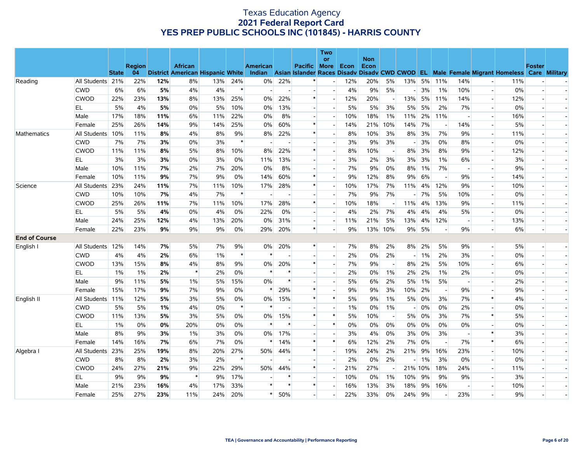|                      |                  |              |               |     |                                  |     |        |                          |                |                          | Two<br>or                |       | <b>Non</b> |                          |         |    |                          |                |                          |       |                                                                                                  |                          |
|----------------------|------------------|--------------|---------------|-----|----------------------------------|-----|--------|--------------------------|----------------|--------------------------|--------------------------|-------|------------|--------------------------|---------|----|--------------------------|----------------|--------------------------|-------|--------------------------------------------------------------------------------------------------|--------------------------|
|                      |                  |              | <b>Region</b> |     | <b>African</b>                   |     |        | <b>American</b>          |                | Pacific More             |                          | Econ  | Econ       |                          |         |    |                          |                |                          |       | <b>Foster</b>                                                                                    |                          |
|                      |                  | <b>State</b> | 04            |     | District American Hispanic White |     |        |                          |                |                          |                          |       |            |                          |         |    |                          |                |                          |       | Indian Asian Islander Races Disady Disady CWD CWOD EL Male Female Migrant Homeless Care Military |                          |
| Reading              | All Students 21% |              | 22%           | 12% | 8%                               | 13% | 24%    | $0\%$                    | 22%            |                          |                          | 12%   | 20%        | 5%                       | 13%     | 5% | 11%                      | 14%            |                          | 11%   |                                                                                                  |                          |
|                      | <b>CWD</b>       | 6%           | 6%            | 5%  | 4%                               | 4%  | $\ast$ | $\blacksquare$           | $\overline{a}$ |                          |                          | 4%    | 9%         | 5%                       |         | 3% | 1%                       | 10%            | $\overline{a}$           | 0%    | $\overline{\phantom{a}}$                                                                         |                          |
|                      | <b>CWOD</b>      | 22%          | 23%           | 13% | 8%                               | 13% | 25%    | $0\%$                    | 22%            | $\ast$                   |                          | 12%   | 20%        | $\overline{\phantom{a}}$ | 13%     | 5% | 11%                      | 14%            | $\overline{\phantom{0}}$ | 12%   |                                                                                                  |                          |
|                      | <b>EL</b>        | 5%           | 4%            | 5%  | 0%                               | 5%  | 10%    | 0%                       | 13%            | $\overline{\phantom{a}}$ |                          | 5%    | 5%         | 3%                       | 5%      | 5% | 2%                       | 7%             | $\overline{a}$           | $0\%$ |                                                                                                  |                          |
|                      | Male             | 17%          | 18%           | 11% | 6%                               | 11% | 22%    | 0%                       | 8%             | $\overline{a}$           | $\overline{\phantom{a}}$ | 10%   | 18%        | 1%                       | 11%     | 2% | 11%                      | $\overline{a}$ | $\overline{\phantom{a}}$ | 16%   |                                                                                                  | ÷.                       |
|                      | Female           | 25%          | 26%           | 14% | 9%                               | 14% | 25%    | $0\%$                    | 60%            | $\ast$                   |                          | 14%   | 21%        | 10%                      | 14%     | 7% |                          | 14%            | $\overline{\phantom{a}}$ | 5%    |                                                                                                  |                          |
| <b>Mathematics</b>   | All Students     | 10%          | 11%           | 8%  | 4%                               | 8%  | 9%     | 8%                       | 22%            | $\ast$                   |                          | 8%    | 10%        | 3%                       | 8%      | 3% | 7%                       | 9%             | $\overline{a}$           | 11%   |                                                                                                  |                          |
|                      | <b>CWD</b>       | 7%           | 7%            | 3%  | 0%                               | 3%  | $\ast$ | $\overline{\phantom{a}}$ |                |                          | $\sim$                   | 3%    | 9%         | 3%                       |         | 3% | 0%                       | 8%             | $\overline{\phantom{a}}$ | 0%    |                                                                                                  |                          |
|                      | <b>CWOD</b>      | 11%          | 11%           | 8%  | 5%                               | 8%  | 10%    | 8%                       | 22%            | $\ast$                   | $\overline{\phantom{a}}$ | 8%    | 10%        | $\overline{\phantom{a}}$ | 8%      | 3% | 8%                       | 9%             | $\overline{\phantom{a}}$ | 12%   |                                                                                                  |                          |
|                      | EL               | 3%           | 3%            | 3%  | 0%                               | 3%  | 0%     | 11%                      | 13%            |                          |                          | 3%    | 2%         | 3%                       | 3%      | 3% | 1%                       | 6%             |                          | 3%    |                                                                                                  |                          |
|                      | Male             | 10%          | 11%           | 7%  | 2%                               | 7%  | 20%    | 0%                       | 8%             | $\overline{a}$           | $\overline{a}$           | 7%    | 9%         | 0%                       | 8%      | 1% | 7%                       | $\blacksquare$ | $\overline{\phantom{a}}$ | 9%    |                                                                                                  | ٠                        |
|                      | Female           | 10%          | 11%           | 9%  | 7%                               | 9%  | 0%     | 14%                      | 60%            | $\ast$                   | $\overline{\phantom{a}}$ | 9%    | 12%        | 8%                       | 9%      | 6% | $\overline{\phantom{a}}$ | 9%             | $\overline{\phantom{a}}$ | 14%   |                                                                                                  |                          |
| Science              | All Students 23% |              | 24%           | 11% | 7%                               | 11% | 10%    | 17%                      | 28%            | $\ast$                   |                          | 10%   | 17%        | 7%                       | 11%     | 4% | 12%                      | 9%             | $\overline{\phantom{a}}$ | 10%   |                                                                                                  |                          |
|                      | <b>CWD</b>       | 10%          | 10%           | 7%  | 4%                               | 7%  | $\ast$ | ÷                        |                |                          | $\overline{\phantom{a}}$ | 7%    | 9%         | 7%                       |         | 7% | 5%                       | 10%            | $\overline{\phantom{a}}$ | 0%    |                                                                                                  |                          |
|                      | <b>CWOD</b>      | 25%          | 26%           | 11% | 7%                               | 11% | 10%    | 17%                      | 28%            | $\ast$                   | $\overline{\phantom{a}}$ | 10%   | 18%        | $\overline{\phantom{a}}$ | 11%     | 4% | 13%                      | 9%             | $\overline{\phantom{0}}$ | 11%   |                                                                                                  |                          |
|                      | EL               | 5%           | 5%            | 4%  | 0%                               | 4%  | 0%     | 22%                      | 0%             | $\overline{\phantom{a}}$ |                          | 4%    | 2%         | 7%                       | 4%      | 4% | 4%                       | 5%             | $\frac{1}{2}$            | 0%    |                                                                                                  |                          |
|                      | Male             | 24%          | 25%           | 12% | 4%                               | 13% | 20%    | 0%                       | 31%            | $\overline{a}$           |                          | 11%   | 21%        | 5%                       | 13%     | 4% | 12%                      | $\blacksquare$ | $\overline{\phantom{0}}$ | 13%   |                                                                                                  |                          |
|                      | Female           | 22%          | 23%           | 9%  | 9%                               | 9%  | 0%     | 29%                      | 20%            | $\ast$                   | $\overline{\phantom{a}}$ | 9%    | 13%        | 10%                      | 9%      | 5% | $\sim$                   | 9%             | u.                       | 6%    | $\overline{a}$                                                                                   | $\overline{\phantom{a}}$ |
| <b>End of Course</b> |                  |              |               |     |                                  |     |        |                          |                |                          |                          |       |            |                          |         |    |                          |                |                          |       |                                                                                                  |                          |
| English I            | All Students     | 12%          | 14%           | 7%  | $5\%$                            | 7%  | 9%     | $0\%$                    | 20%            | $\ast$                   | $\overline{a}$           | $7\%$ | 8%         | 2%                       | 8%      | 2% | 5%                       | 9%             | $\overline{\phantom{a}}$ | 5%    | $\blacksquare$                                                                                   |                          |
|                      | <b>CWD</b>       | 4%           | 4%            | 2%  | 6%                               | 1%  | $\ast$ | $\ast$                   | $\sim$         | $\overline{a}$           | $\overline{a}$           | 2%    | $0\%$      | 2%                       |         | 1% | 2%                       | 3%             | ۰                        | 0%    | $\overline{a}$                                                                                   |                          |
|                      | <b>CWOD</b>      | 13%          | 15%           | 8%  | 4%                               | 8%  | 9%     | $0\%$                    | 20%            | $\ast$                   | $\overline{\phantom{a}}$ | 7%    | 9%         | $\overline{\phantom{a}}$ | 8%      | 2% | 5%                       | 10%            | $\blacksquare$           | 6%    |                                                                                                  |                          |
|                      | EL               | $1\%$        | $1\%$         | 2%  | $\ast$                           | 2%  | 0%     | $\ast$                   |                |                          |                          | 2%    | $0\%$      | $1\%$                    | 2%      | 2% | 1%                       | 2%             |                          | 0%    |                                                                                                  |                          |
|                      | Male             | 9%           | 11%           | 5%  | 1%                               | 5%  | 15%    | 0%                       | $\ast$         |                          | $\overline{a}$           | 5%    | 6%         | 2%                       | 5%      | 1% | 5%                       |                | $\overline{\phantom{a}}$ | 2%    |                                                                                                  |                          |
|                      | Female           | 15%          | 17%           | 9%  | 7%                               | 9%  | 0%     |                          | 29%            | $\ast$                   | $\overline{\phantom{a}}$ | 9%    | 9%         | 3%                       | 10%     | 2% | $\sim$                   | 9%             | $\blacksquare$           | 9%    |                                                                                                  |                          |
| English II           | All Students 11% |              | 12%           | 5%  | 3%                               | 5%  | 0%     | $0\%$                    | 15%            | $\ast$                   | $\ast$                   | 5%    | 9%         | 1%                       | 5%      | 0% | 3%                       | 7%             | $\ast$                   | 4%    |                                                                                                  |                          |
|                      | <b>CWD</b>       | 5%           | 5%            | 1%  | 4%                               | 0%  | $\ast$ | $\ast$                   |                |                          | $\overline{a}$           | 1%    | 0%         | $1\%$                    |         | 0% | 0%                       | 2%             | $\overline{\phantom{a}}$ | 0%    |                                                                                                  |                          |
|                      | <b>CWOD</b>      | 11%          | 13%           | 5%  | 3%                               | 5%  | 0%     | 0%                       | 15%            | $\ast$                   | $\ast$                   | 5%    | 10%        | $\overline{\phantom{a}}$ | 5%      | 0% | 3%                       | 7%             | $\ast$                   | 5%    |                                                                                                  |                          |
|                      | EL               | $1\%$        | 0%            | 0%  | 20%                              | 0%  | 0%     | $\ast$                   |                |                          | $\ast$                   | 0%    | 0%         | 0%                       | 0%      | 0% | 0%                       | 0%             | $\overline{\phantom{a}}$ | 0%    |                                                                                                  |                          |
|                      | Male             | 8%           | 9%            | 3%  | 1%                               | 3%  | 0%     | 0%                       | 17%            |                          |                          | 3%    | 4%         | 0%                       | 3%      | 0% | 3%                       | $\blacksquare$ | $\ast$                   | 3%    |                                                                                                  |                          |
|                      | Female           | 14%          | 16%           | 7%  | 6%                               | 7%  | 0%     | *                        | 14%            | $\ast$                   | $\ast$                   | 6%    | 12%        | 2%                       | 7%      | 0% | $\overline{\phantom{a}}$ | 7%             | $\ast$                   | 6%    |                                                                                                  | H                        |
| Algebra I            | All Students     | 23%          | 25%           | 19% | 8%                               | 20% | 27%    | 50%                      | 44%            | $\ast$                   |                          | 19%   | 24%        | 2%                       | 21%     | 9% | 16%                      | 23%            | $\overline{\phantom{a}}$ | 10%   |                                                                                                  |                          |
|                      | <b>CWD</b>       | 8%           | 8%            | 2%  | 3%                               | 2%  | $\ast$ |                          |                |                          |                          | 2%    | 0%         | 2%                       |         | 1% | 3%                       | 0%             | $\overline{\phantom{0}}$ | 0%    |                                                                                                  |                          |
|                      | <b>CWOD</b>      | 24%          | 27%           | 21% | 9%                               | 22% | 29%    | 50%                      | 44%            | $\ast$                   | $\mathbf{u}^{(1)}$       | 21%   | 27%        |                          | 21% 10% |    | 18%                      | 24%            | $\overline{\phantom{a}}$ | 11%   |                                                                                                  |                          |
|                      | EL.              | 9%           | 9%            | 9%  | $\ast$                           | 9%  | 17%    |                          |                |                          |                          | 10%   | 0%         | $1\%$                    | 10%     | 9% | 9%                       | 9%             | $\blacksquare$           | 3%    |                                                                                                  |                          |
|                      | Male             | 21%          | 23%           | 16% | 4%                               | 17% | 33%    | $\ast$                   | $\ast$         | $\ast$                   |                          | 16%   | 13%        | 3%                       | 18%     | 9% | 16%                      |                |                          | 10%   |                                                                                                  |                          |
|                      | Female           | 25%          | 27%           | 23% | 11%                              | 24% | 20%    |                          | $\ast$<br>50%  | $\overline{\phantom{a}}$ |                          | 22%   | 33%        | $0\%$                    | 24%     | 9% |                          | 23%            | $\overline{a}$           | 9%    |                                                                                                  | $\overline{\phantom{0}}$ |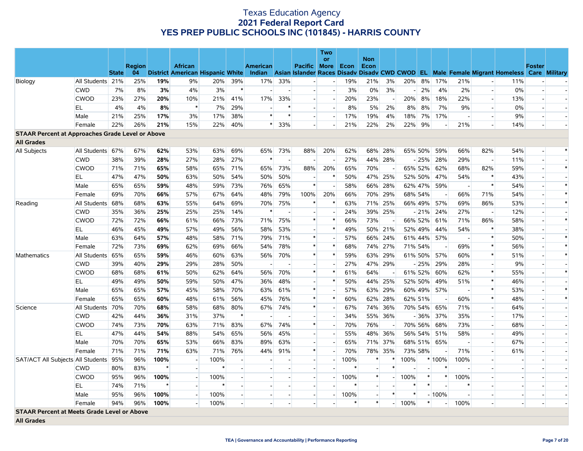|                                                         |                  |              |               |      |                                  |      |        |                          |        |                          | Two            |      |                    |         |         |         |         |                          |                |                                                                                                  |                          |        |
|---------------------------------------------------------|------------------|--------------|---------------|------|----------------------------------|------|--------|--------------------------|--------|--------------------------|----------------|------|--------------------|---------|---------|---------|---------|--------------------------|----------------|--------------------------------------------------------------------------------------------------|--------------------------|--------|
|                                                         |                  |              | <b>Region</b> |      | <b>African</b>                   |      |        | <b>American</b>          |        | Pacific More             | or             | Econ | <b>Non</b><br>Econ |         |         |         |         |                          |                |                                                                                                  | <b>Foster</b>            |        |
|                                                         |                  | <b>State</b> | 04            |      | District American Hispanic White |      |        |                          |        |                          |                |      |                    |         |         |         |         |                          |                | Indian Asian Islander Races Disady Disady CWD CWOD EL Male Female Migrant Homeless Care Military |                          |        |
| Biology                                                 | All Students 21% |              | 25%           | 19%  | 9%                               | 20%  | 39%    | 17%                      | 33%    |                          |                | 19%  | 21%                | 3%      | 20%     | 8%      | 17%     | 21%                      | $\overline{a}$ | 11%                                                                                              |                          |        |
|                                                         | <b>CWD</b>       | 7%           | 8%            | 3%   | 4%                               | 3%   | $\ast$ | $\blacksquare$           |        | $\overline{\phantom{a}}$ |                | 3%   | 0%                 | 3%      |         | 2%      | 4%      | 2%                       | $\overline{a}$ | 0%                                                                                               | $\overline{\phantom{a}}$ |        |
|                                                         | <b>CWOD</b>      | 23%          | 27%           | 20%  | 10%                              | 21%  | 41%    | 17%                      | 33%    |                          |                | 20%  | 23%                |         | 20%     | 8%      | 18%     | 22%                      | $\sim$         | 13%                                                                                              |                          |        |
|                                                         | EL               | 4%           | 4%            | 8%   | $\ast$                           | 7%   | 29%    |                          |        |                          |                | 8%   | 5%                 | 2%      | 8%      | 8%      | 7%      | 9%                       | $\sim$         | 0%                                                                                               | $\overline{a}$           |        |
|                                                         | Male             | 21%          | 25%           | 17%  | 3%                               | 17%  | 38%    | $\ast$                   | $\ast$ |                          |                | 17%  | 19%                | 4%      | 18%     | 7%      | 17%     |                          |                | 9%                                                                                               |                          |        |
|                                                         | Female           | 22%          | 26%           | 21%  | 15%                              | 22%  | 40%    | $\ast$                   | 33%    | $\sim$                   |                | 21%  | 22%                | 2%      | 22%     | 9%      |         | 21%                      | $\sim$         | 14%                                                                                              |                          |        |
| <b>STAAR Percent at Approaches Grade Level or Above</b> |                  |              |               |      |                                  |      |        |                          |        |                          |                |      |                    |         |         |         |         |                          |                |                                                                                                  |                          |        |
| <b>All Grades</b>                                       |                  |              |               |      |                                  |      |        |                          |        |                          |                |      |                    |         |         |         |         |                          |                |                                                                                                  |                          |        |
| All Subjects                                            | All Students 67% |              | 67%           | 62%  | 53%                              | 63%  | 69%    | 65%                      | 73%    | 88%                      | 20%            | 62%  | 68%                | 28%     |         | 65% 50% | 59%     | 66%                      | 82%            | 54%                                                                                              |                          | $\ast$ |
|                                                         | <b>CWD</b>       | 38%          | 39%           | 28%  | 27%                              | 28%  | 27%    | $\ast$                   |        |                          |                | 27%  |                    | 44% 28% |         | $-25%$  | 28%     | 29%                      |                | 11%                                                                                              |                          |        |
|                                                         | <b>CWOD</b>      | 71%          | 71%           | 65%  | 58%                              | 65%  | 71%    | 65%                      | 73%    | 88%                      | 20%            | 65%  | 70%                |         |         | 65% 52% | 62%     | 68%                      | 82%            | 59%                                                                                              | $\overline{a}$           | $\ast$ |
|                                                         | EL               | 47%          | 47%           | 50%  | 63%                              | 50%  | 54%    | 50%                      | 50%    |                          |                | 50%  | 47%                | 25%     |         | 52% 50% | 47%     | 54%                      | $\ast$         | 43%                                                                                              |                          |        |
|                                                         | Male             | 65%          | 65%           | 59%  | 48%                              | 59%  | 73%    | 76%                      | 65%    | $\ast$                   |                | 58%  | 66%                | 28%     |         | 62% 47% | 59%     | $\overline{\phantom{a}}$ | $\ast$         | 54%                                                                                              |                          | $\ast$ |
|                                                         | Female           | 69%          | 70%           | 66%  | 57%                              | 67%  | 64%    | 48%                      | 79%    | 100%                     | 20%            | 66%  | 70%                | 29%     |         | 68% 54% |         | 66%                      | 71%            | 54%                                                                                              |                          | $\ast$ |
| Reading                                                 | All Students 68% |              | 68%           | 63%  | 55%                              | 64%  | 69%    | 70%                      | 75%    | $\ast$                   |                | 63%  | 71%                | 25%     |         | 66% 49% | 57%     | 69%                      | 86%            | 53%                                                                                              |                          | $\ast$ |
|                                                         | <b>CWD</b>       | 35%          | 36%           | 25%  | 25%                              | 25%  | 14%    | ∗                        |        |                          |                | 24%  |                    | 39% 25% |         | $-21%$  | 24%     | 27%                      | $\sim$         | 12%                                                                                              |                          |        |
|                                                         | <b>CWOD</b>      | 72%          | 72%           | 66%  | 61%                              | 66%  | 73%    | 71%                      | 75%    | $\ast$                   | $\ast$         | 66%  | 73%                |         |         | 66% 52% | 61%     | 71%                      | 86%            | 58%                                                                                              |                          | $\ast$ |
|                                                         | EL               | 46%          | 45%           | 49%  | 57%                              | 49%  | 56%    | 58%                      | 53%    |                          | $\ast$         | 49%  |                    | 50% 21% |         | 52% 49% | 44%     | 54%                      | $\ast$         | 38%                                                                                              |                          |        |
|                                                         | Male             | 63%          | 64%           | 57%  | 48%                              | 58%  | 71%    | 79%                      | 71%    | $\ast$                   | $\sim$         | 57%  | 66%                | 24%     |         | 61% 44% | 57%     | $\overline{a}$           | $\ast$         | 50%                                                                                              | $\blacksquare$           | $\ast$ |
|                                                         | Female           | 72%          | 73%           | 69%  | 62%                              | 69%  | 66%    | 54%                      | 78%    | $\ast$                   | $\ast$         | 68%  |                    | 74% 27% |         | 71% 54% |         | 69%                      | $\ast$         | 56%                                                                                              |                          | $\ast$ |
| Mathematics                                             | All Students 65% |              | 65%           | 59%  | 46%                              | 60%  | 63%    | 56%                      | 70%    | $\ast$                   |                | 59%  |                    | 63% 29% |         | 61% 50% | 57%     | 60%                      | $\ast$         | 51%                                                                                              | $\overline{\phantom{a}}$ | $\ast$ |
|                                                         | <b>CWD</b>       | 39%          | 40%           | 29%  | 29%                              | 28%  | 50%    | $\overline{a}$           |        |                          |                | 27%  |                    | 47% 29% |         | $-25%$  | 29%     | 28%                      | $\overline{a}$ | 9%                                                                                               |                          |        |
|                                                         | <b>CWOD</b>      | 68%          | 68%           | 61%  | 50%                              | 62%  | 64%    | 56%                      | 70%    | $\ast$                   | $\ast$         | 61%  | 64%                |         |         | 61% 52% | 60%     | 62%                      | $\ast$         | 55%                                                                                              |                          | $\ast$ |
|                                                         | EL               | 49%          | 49%           | 50%  | 59%                              | 50%  | 47%    | 36%                      | 48%    | $\blacksquare$           | $\ast$         | 50%  | 44%                | 25%     |         | 52% 50% | 49%     | 51%                      | $\ast$         | 46%                                                                                              |                          |        |
|                                                         | Male             | 65%          | 65%           | 57%  | 45%                              | 58%  | 70%    | 63%                      | 61%    | $\ast$                   |                | 57%  | 63%                | 29%     |         | 60% 49% | 57%     | $\overline{\phantom{a}}$ | $\ast$         | 53%                                                                                              |                          | $\ast$ |
|                                                         | Female           | 65%          | 65%           | 60%  | 48%                              | 61%  | 56%    | 45%                      | 76%    | $\ast$                   | $\ast$         | 60%  | 62%                | 28%     | 62% 51% |         |         | 60%                      | $\ast$         | 48%                                                                                              |                          | $\ast$ |
| Science                                                 | All Students 70% |              | 70%           | 68%  | 58%                              | 68%  | 80%    | 67%                      | 74%    | $\ast$                   |                | 67%  | 74%                | 36%     |         | 70% 54% | 65%     | 71%                      |                | 64%                                                                                              |                          |        |
|                                                         | <b>CWD</b>       | 42%          | 44%           | 36%  | 31%                              | 37%  | $\ast$ |                          |        | $\overline{a}$           |                | 34%  | 55%                | 36%     |         | - 36%   | 37%     | 35%                      | $\sim$         | 17%                                                                                              |                          |        |
|                                                         | <b>CWOD</b>      | 74%          | 73%           | 70%  | 63%                              | 71%  | 83%    | 67%                      | 74%    | $\ast$                   |                | 70%  | 76%                |         |         | 70% 56% | 68%     | 73%                      |                | 68%                                                                                              |                          |        |
|                                                         | EL               | 47%          | 44%           | 54%  | 88%                              | 54%  | 65%    | 56%                      | 45%    | $\blacksquare$           |                | 55%  | 48%                | 36%     |         | 56% 54% | 51%     | 58%                      | $\overline{a}$ | 49%                                                                                              |                          |        |
|                                                         | Male             | 70%          | 70%           | 65%  | 53%                              | 66%  | 83%    | 89%                      | 63%    |                          |                | 65%  |                    | 71% 37% |         | 68% 51% | 65%     | $\overline{a}$           |                | 67%                                                                                              |                          |        |
|                                                         | Female           | 71%          | 71%           | 71%  | 63%                              | 71%  | 76%    | 44%                      | 91%    | $\ast$                   |                | 70%  |                    | 78% 35% |         | 73% 58% |         | 71%                      | $\sim$         | 61%                                                                                              |                          |        |
| SAT/ACT All Subjects All Students 95%                   |                  |              | 96%           | 100% | $\overline{\phantom{a}}$         | 100% |        |                          |        |                          | $\sim$         | 100% | $\ast$             |         | 100%    |         | * 100%  | 100%                     |                |                                                                                                  |                          |        |
|                                                         | <b>CWD</b>       | 80%          | 83%           |      | $\overline{a}$                   |      |        | $\blacksquare$           |        |                          |                |      |                    | $\ast$  |         |         |         |                          |                |                                                                                                  |                          |        |
|                                                         | <b>CWOD</b>      | 95%          | 96%           | 100% | $\overline{\phantom{a}}$         | 100% |        | $\blacksquare$           |        |                          | $\overline{a}$ | 100% | $\ast$             |         | 100%    | $\ast$  |         | 100%                     |                |                                                                                                  |                          |        |
|                                                         | EL               | 74%          | 71%           |      | $\sim$                           |      |        | $\overline{\phantom{a}}$ |        |                          |                |      |                    |         |         |         |         |                          |                |                                                                                                  |                          |        |
|                                                         | Male             | 95%          | 96%           | 100% | $\sim$                           | 100% |        | $\overline{a}$           |        | $\blacksquare$           | н.             | 100% |                    | $\ast$  | $\ast$  |         | $-100%$ |                          |                | $\overline{a}$                                                                                   |                          |        |
|                                                         | Female           | 94%          | 96%           | 100% | $\sim$                           | 100% |        | $\blacksquare$           |        |                          |                |      | $\ast$             |         | 100%    | $\ast$  |         | 100%                     |                | $\blacksquare$                                                                                   |                          |        |
| <b>STAAR Percent at Meets Grade Level or Above</b>      |                  |              |               |      |                                  |      |        |                          |        |                          |                |      |                    |         |         |         |         |                          |                |                                                                                                  |                          |        |
| <b>All Grades</b>                                       |                  |              |               |      |                                  |      |        |                          |        |                          |                |      |                    |         |         |         |         |                          |                |                                                                                                  |                          |        |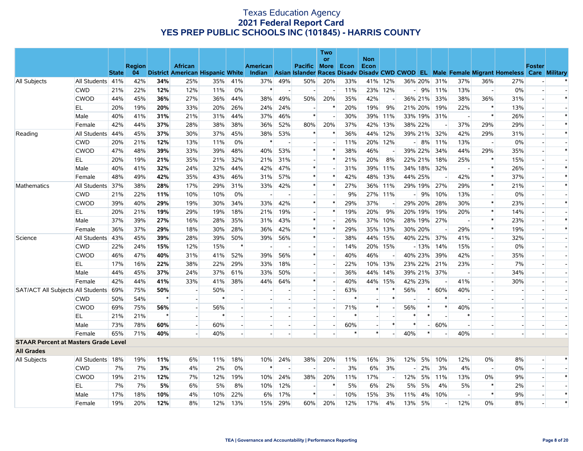|                                             |                  |              |               |         |                                  |        |                          |                          |                |                          | Two<br>or |        | <b>Non</b>               |         |         |         |        |                          |                          |                          |                                                                                                  |                          |
|---------------------------------------------|------------------|--------------|---------------|---------|----------------------------------|--------|--------------------------|--------------------------|----------------|--------------------------|-----------|--------|--------------------------|---------|---------|---------|--------|--------------------------|--------------------------|--------------------------|--------------------------------------------------------------------------------------------------|--------------------------|
|                                             |                  |              | <b>Region</b> |         | <b>African</b>                   |        |                          | <b>American</b>          |                | <b>Pacific More</b>      |           | Econ   | Econ                     |         |         |         |        |                          |                          |                          | <b>Foster</b>                                                                                    |                          |
|                                             |                  | <b>State</b> | 04            |         | District American Hispanic White |        |                          |                          |                |                          |           |        |                          |         |         |         |        |                          |                          |                          | Indian Asian Islander Races Disady Disady CWD CWOD EL Male Female Migrant Homeless Care Military |                          |
| All Subjects                                | All Students 41% |              | 42%           | 34%     | 25%                              | 35%    | 41%                      | 37%                      | 49%            | 50%                      | 20%       | 33%    | 41%                      | 12%     |         | 36% 20% | 31%    | 37%                      | 36%                      | 27%                      |                                                                                                  |                          |
|                                             | <b>CWD</b>       | 21%          | 22%           | 12%     | 12%                              | 11%    | 0%                       | $\ast$                   |                |                          |           | 11%    |                          | 23% 12% |         | $-$ 9%  | 11%    | 13%                      | $\overline{\phantom{a}}$ | 0%                       |                                                                                                  |                          |
|                                             | <b>CWOD</b>      | 44%          | 45%           | 36%     | 27%                              | 36%    | 44%                      | 38%                      | 49%            | 50%                      | 20%       | 35%    | 42%                      |         |         | 36% 21% | 33%    | 38%                      | 36%                      | 31%                      |                                                                                                  | $\ast$                   |
|                                             | EL               | 20%          | 19%           | 20%     | 33%                              | 20%    | 26%                      | 24%                      | 24%            |                          |           | 20%    | 19%                      | 9%      |         | 21% 20% | 19%    | 22%                      | $\ast$                   | 13%                      |                                                                                                  |                          |
|                                             | Male             | 40%          | 41%           | 31%     | 21%                              | 31%    | 44%                      | 37%                      | 46%            | $\ast$                   |           | 30%    | 39%                      | 11%     |         | 33% 19% | 31%    | $\sim$                   | $\ast$                   | 26%                      |                                                                                                  | $\ast$                   |
|                                             | Female           | 42%          | 44%           | 37%     | 28%                              | 38%    | 38%                      | 36%                      | 52%            | 80%                      | 20%       | 37%    | 42%                      | 13%     |         | 38% 22% | $\sim$ | 37%                      | 29%                      | 29%                      |                                                                                                  | $\ast$                   |
| Reading                                     | All Students     | 44%          | 45%           | 37%     | 30%                              | 37%    | 45%                      | 38%                      | 53%            | $\ast$                   |           | 36%    | 44%                      | 12%     |         | 39% 21% | 32%    | 42%                      | 29%                      | 31%                      |                                                                                                  | $\ast$                   |
|                                             | <b>CWD</b>       | 20%          | 21%           | 12%     | 13%                              | 11%    | 0%                       | $\ast$                   | $\overline{a}$ | $\overline{\phantom{a}}$ |           | 11%    | 20%                      | 12%     |         | $-8%$   | 11%    | 13%                      | $\sim$                   | 0%                       |                                                                                                  |                          |
|                                             | <b>CWOD</b>      | 47%          | 48%           | 39%     | 33%                              | 39%    | 48%                      | 40%                      | 53%            | $\ast$                   |           | 38%    | 46%                      |         |         | 39% 22% | 34%    | 44%                      | 29%                      | 35%                      |                                                                                                  | $\ast$                   |
|                                             | EL               | 20%          | 19%           | 21%     | 35%                              | 21%    | 32%                      | 21%                      | 31%            |                          |           | 21%    | 20%                      | 8%      |         | 22% 21% | 18%    | 25%                      | $\ast$                   | 15%                      |                                                                                                  |                          |
|                                             | Male             | 40%          | 41%           | 32%     | 24%                              | 32%    | 44%                      | 42%                      | 47%            | $\ast$                   |           | 31%    | 39%                      | 11%     |         | 34% 18% | 32%    | $\sim$                   | $\ast$                   | 26%                      |                                                                                                  | $\ast$                   |
|                                             | Female           | 48%          | 49%           | 42%     | 35%                              | 43%    | 46%                      | 31%                      | 57%            | $\ast$                   | $\ast$    | 42%    |                          | 48% 13% | 44% 25% |         |        | 42%                      | $\ast$                   | 37%                      |                                                                                                  | $\ast$                   |
| <b>Mathematics</b>                          | All Students 37% |              | 38%           | 28%     | 17%                              | 29%    | 31%                      | 33%                      | 42%            | $\ast$                   | $\ast$    | 27%    | 36%                      | 11%     |         | 29% 19% | 27%    | 29%                      | $\ast$                   | 21%                      |                                                                                                  | $\ast$                   |
|                                             | <b>CWD</b>       | 21%          | 22%           | 11%     | 10%                              | 10%    | 0%                       | $\overline{\phantom{a}}$ |                | $\overline{\phantom{a}}$ |           | 9%     |                          | 27% 11% |         | - 9%    | 10%    | 13%                      | $\overline{a}$           | 0%                       |                                                                                                  |                          |
|                                             | <b>CWOD</b>      | 39%          | 40%           | 29%     | 19%                              | 30%    | 34%                      | 33%                      | 42%            | $\ast$                   |           | 29%    | 37%                      |         |         | 29% 20% | 28%    | 30%                      | $\ast$                   | 23%                      |                                                                                                  | $\ast$                   |
|                                             | EL               | 20%          | 21%           | 19%     | 29%                              | 19%    | 18%                      | 21%                      | 19%            | $\overline{\phantom{a}}$ | $\ast$    | 19%    | 20%                      | 9%      |         | 20% 19% | 19%    | 20%                      | $\ast$                   | 14%                      |                                                                                                  |                          |
|                                             | Male             | 37%          | 39%           | 27%     | 16%                              | 28%    | 35%                      | 31%                      | 43%            | $\ast$                   |           | 26%    | 37%                      | 10%     |         | 28% 19% | 27%    |                          | $\ast$                   | 23%                      |                                                                                                  | $\ast$                   |
|                                             | Female           | 36%          | 37%           | 29%     | 18%                              | 30%    | 28%                      | 36%                      | 42%            | $\ast$                   |           | 29%    | 35%                      | 13%     |         | 30% 20% |        | 29%                      | $\ast$                   | 19%                      |                                                                                                  | $\ast$                   |
| Science                                     | All Students 43% |              | 45%           | 39%     | 28%                              | 39%    | 50%                      | 39%                      | 56%            | $\ast$                   |           | 38%    | 44%                      | 15%     |         | 40% 22% | 37%    | 41%                      | $\overline{a}$           | 32%                      |                                                                                                  |                          |
|                                             | <b>CWD</b>       | 22%          | 24%           | 15%     | 12%                              | 15%    | $\ast$                   |                          |                |                          |           | 14%    |                          | 20% 15% |         | $-13%$  | 14%    | 15%                      | $\overline{a}$           | 0%                       |                                                                                                  |                          |
|                                             | <b>CWOD</b>      | 46%          | 47%           | 40%     | 31%                              | 41%    | 52%                      | 39%                      | 56%            | $\ast$                   |           | 40%    | 46%                      |         |         | 40% 23% | 39%    | 42%                      | $\overline{a}$           | 35%                      |                                                                                                  |                          |
|                                             | EL               | 17%          | 16%           | 22%     | 38%                              | 22%    | 29%                      | 33%                      | 18%            | $\overline{\phantom{a}}$ |           | 22%    |                          | 10% 13% |         | 23% 22% | 21%    | 23%                      | $\overline{a}$           | 7%                       |                                                                                                  |                          |
|                                             | Male             | 44%          | 45%           | 37%     | 24%                              | 37%    | 61%                      | 33%                      | 50%            | $\overline{\phantom{a}}$ |           | 36%    | 44%                      | 14%     |         | 39% 21% | 37%    |                          | $\overline{\phantom{a}}$ | 34%                      |                                                                                                  |                          |
|                                             | Female           | 42%          | 44%           | 41%     | 33%                              | 41%    | 38%                      | 44%                      | 64%            | $\ast$                   |           | 40%    | 44%                      | 15%     |         | 42% 23% |        | 41%                      | $\overline{a}$           | 30%                      |                                                                                                  |                          |
| SAT/ACT All Subjects All Students           |                  | 69%          | 75%           | 50%     |                                  | 50%    |                          |                          |                |                          |           | 63%    | $\ast$                   |         | 56%     |         | 60%    | 40%                      | $\sim$                   |                          |                                                                                                  |                          |
|                                             | <b>CWD</b>       | 50%          | 54%           | $\star$ | $\sim$                           | $\ast$ |                          | $\overline{a}$           |                |                          |           | $\ast$ |                          |         |         |         |        |                          | $\overline{a}$           |                          |                                                                                                  |                          |
|                                             | <b>CWOD</b>      | 69%          | 75%           | 56%     | $\overline{\phantom{a}}$         | 56%    |                          | $\blacksquare$           |                |                          |           | 71%    | $\ast$                   |         | 56%     |         |        | 40%                      |                          |                          |                                                                                                  |                          |
|                                             | EL               | 21%          | 21%           | $\star$ | $\mathbf{r}$                     | $\ast$ |                          |                          |                |                          |           | $\ast$ |                          |         |         |         |        |                          |                          |                          |                                                                                                  |                          |
|                                             | Male             | 73%          | 78%           | 60%     | $\overline{\phantom{a}}$         | 60%    | $\overline{\phantom{a}}$ | $\overline{\phantom{a}}$ |                | $\overline{\phantom{a}}$ |           | 60%    | $\overline{\phantom{a}}$ |         | $\ast$  |         | 60%    | $\overline{\phantom{a}}$ | $\overline{\phantom{a}}$ | $\overline{\phantom{a}}$ | $\overline{\phantom{a}}$                                                                         | $\overline{\phantom{a}}$ |
|                                             | Female           | 65%          | 71%           | 40%     |                                  | 40%    |                          |                          |                |                          |           | $\ast$ | $\ast$                   |         | 40%     | $\ast$  |        | 40%                      |                          |                          |                                                                                                  |                          |
| <b>STAAR Percent at Masters Grade Level</b> |                  |              |               |         |                                  |        |                          |                          |                |                          |           |        |                          |         |         |         |        |                          |                          |                          |                                                                                                  |                          |
| <b>All Grades</b>                           |                  |              |               |         |                                  |        |                          |                          |                |                          |           |        |                          |         |         |         |        |                          |                          |                          |                                                                                                  |                          |
| All Subjects                                | All Students 18% |              | 19%           | 11%     | 6%                               | 11%    | 18%                      | 10%                      | 24%            | 38%                      | 20%       | 11%    | 16%                      | 3%      | 12%     | 5%      | 10%    | 12%                      | 0%                       | 8%                       |                                                                                                  | $\ast$                   |
|                                             | <b>CWD</b>       | 7%           | 7%            | 3%      | 4%                               | 2%     | 0%                       | $\ast$                   | $\sim$         |                          |           | 3%     | 6%                       | 3%      |         | 2%      | 3%     | 4%                       | $\sim$                   | 0%                       |                                                                                                  |                          |
|                                             | <b>CWOD</b>      | 19%          | 21%           | 12%     | 7%                               | 12%    | 19%                      | 10%                      | 24%            | 38%                      | 20%       | 11%    | 17%                      |         | 12%     | $5\%$   | 11%    | 13%                      | 0%                       | 9%                       |                                                                                                  | $\ast$                   |
|                                             | EL               | 7%           | 7%            | 5%      | 6%                               | 5%     | 8%                       | 10%                      | 12%            |                          |           | 5%     | 6%                       | 2%      | 5%      | 5%      | 4%     | 5%                       | $\ast$                   | 2%                       |                                                                                                  |                          |
|                                             | Male             | 17%          | 18%           | 10%     | 4%                               | 10%    | 22%                      | 6%                       | 17%            | $\ast$                   |           | 10%    | 15%                      | 3%      | 11%     | 4%      | 10%    | $\overline{\phantom{a}}$ | $\ast$                   | 9%                       |                                                                                                  | $\ast$                   |
|                                             | Female           | 19%          | 20%           | 12%     | 8%                               | 12%    | 13%                      | 15%                      | 29%            | 60%                      | 20%       | 12%    | 17%                      | 4%      | 13%     | 5%      |        | 12%                      | 0%                       | 8%                       |                                                                                                  | $\ast$                   |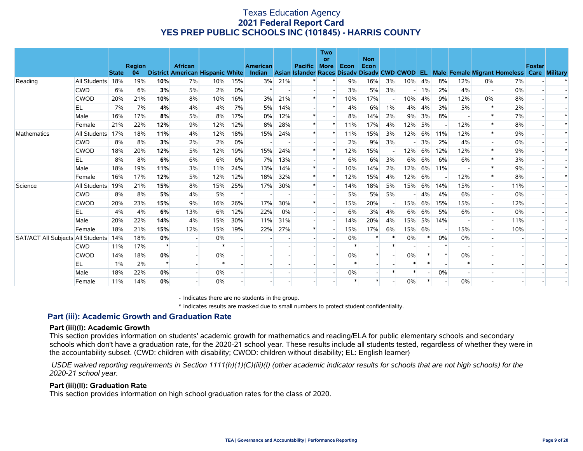|                                   |              |              |               |         |                                         |       |     |                 |     |                | <b>Two</b><br>or |             | <b>Non</b> |       |        |    |       |       |        |                                                                                                  |               |        |
|-----------------------------------|--------------|--------------|---------------|---------|-----------------------------------------|-------|-----|-----------------|-----|----------------|------------------|-------------|------------|-------|--------|----|-------|-------|--------|--------------------------------------------------------------------------------------------------|---------------|--------|
|                                   |              |              | <b>Region</b> |         | <b>African</b>                          |       |     | <b>American</b> |     | <b>Pacific</b> | <b>More</b>      | <b>Econ</b> | Econ       |       |        |    |       |       |        |                                                                                                  | <b>Foster</b> |        |
|                                   |              | <b>State</b> | 04            |         | <b>District American Hispanic White</b> |       |     |                 |     |                |                  |             |            |       |        |    |       |       |        | Indian Asian Islander Races Disadv Disadv CWD CWOD EL Male Female Migrant Homeless Care Military |               |        |
| Reading                           | All Students | 18%          | 19%           | 10%     | 7%                                      | 10%   | 15% | 3%              | 21% |                |                  | 9%          | 16%        | 3%    | 10%    | 4% | 8%    | 12%   | $0\%$  | 7%                                                                                               |               |        |
|                                   | <b>CWD</b>   | 6%           | 6%            | 3%      | 5%                                      | 2%    | 0%  | $\ast$          |     |                |                  | 3%          | 5%         | 3%    |        | 1% | 2%    | 4%    |        | 0%                                                                                               |               |        |
|                                   | <b>CWOD</b>  | 20%          | 21%           | 10%     | 8%                                      | 10%   | 16% | 3%              | 21% | $\ast$         |                  | 10%         | 17%        |       | 10%    | 4% | 9%    | 12%   | 0%     | 8%                                                                                               |               | $\ast$ |
|                                   | EL           | 7%           | 7%            | 4%      | 4%                                      | 4%    | 7%  | 5%              | 14% |                | $\ast$           | 4%          | 6%         | $1\%$ | 4%     | 4% | 3%    | 5%    | $\ast$ | 2%                                                                                               |               |        |
|                                   | Male         | 16%          | 17%           | 8%      | 5%                                      | 8%    | 17% | 0%              | 12% | $\ast$         |                  | 8%          | 14%        | 2%    | 9%     | 3% | 8%    |       |        | 7%                                                                                               |               | $\ast$ |
|                                   | Female       | 21%          | 22%           | 12%     | 9%                                      | 12%   | 12% | 8%              | 28% | $\ast$         | ∗                | 11%         | 17%        | 4%    | 12%    | 5% |       | 12%   | $*$    | 8%                                                                                               |               | $*$    |
| Mathematics                       | All Students | 17%          | 18%           | 11%     | 4%                                      | 12%   | 18% | 15%             | 24% | $\ast$         |                  | 11%         | 15%        | 3%    | 12%    | 6% | 11%   | 12%   |        | 9%                                                                                               |               | $\ast$ |
|                                   | <b>CWD</b>   | 8%           | 8%            | 3%      | 2%                                      | 2%    | 0%  |                 |     |                |                  | 2%          | 9%         | 3%    |        | 3% | 2%    | 4%    |        | 0%                                                                                               |               |        |
|                                   | <b>CWOD</b>  | 18%          | 20%           | 12%     | 5%                                      | 12%   | 19% | 15%             | 24% | $\ast$         | $\ast$           | 12%         | 15%        |       | 12%    | 6% | 12%   | 12%   | $\ast$ | 9%                                                                                               |               | $\ast$ |
|                                   | EL           | 8%           | 8%            | 6%      | 6%                                      | 6%    | 6%  | 7%              | 13% |                | $\ast$           | 6%          | 6%         | 3%    | 6%     | 6% | 6%    | 6%    |        | 3%                                                                                               |               |        |
|                                   | Male         | 18%          | 19%           | 11%     | 3%                                      | 11%   | 24% | 13%             | 14% | $\ast$         |                  | 10%         | 14%        | 2%    | 12%    | 6% | 11%   |       |        | 9%                                                                                               |               | $\ast$ |
|                                   | Female       | 16%          | 17%           | 12%     | 5%                                      | 12%   | 12% | 18%             | 32% | $\ast$         |                  | 12%         | 15%        | 4%    | 12%    | 6% |       | 12%   | $\ast$ | 8%                                                                                               |               | $\ast$ |
| Science                           | All Students | 19%          | 21%           | 15%     | 8%                                      | 15%   | 25% | 17%             | 30% | $\ast$         |                  | 14%         | 18%        | 5%    | 15%    | 6% | 14%   | 15%   |        | 11%                                                                                              |               |        |
|                                   | <b>CWD</b>   | 8%           | 8%            | 5%      | 4%                                      | 5%    |     |                 |     |                |                  | 5%          | 5%         | 5%    |        | 4% | 4%    | 6%    |        | 0%                                                                                               |               |        |
|                                   | <b>CWOD</b>  | 20%          | 23%           | 15%     | 9%                                      | 16%   | 26% | 17%             | 30% | $\ast$         |                  | 15%         | 20%        |       | 15%    | 6% | 15%   | 15%   |        | 12%                                                                                              |               |        |
|                                   | EL           | 4%           | 4%            | 6%      | 13%                                     | 6%    | 12% | 22%             | 0%  |                |                  | 6%          | 3%         | 4%    | 6%     | 6% | 5%    | 6%    |        | 0%                                                                                               |               |        |
|                                   | Male         | 20%          | 22%           | 14%     | 4%                                      | 15%   | 30% | 11%             | 31% |                | $\sim$           | 14%         | 20%        | 4%    | 15%    | 5% | 14%   |       |        | 11%                                                                                              |               |        |
|                                   | Female       | 18%          | 21%           | 15%     | 12%                                     | 15%   | 19% | 22%             | 27% |                |                  | 15%         | 17%        | 6%    | 15%    | 6% |       | 15%   |        | 10%                                                                                              |               |        |
| SAT/ACT All Subjects All Students |              | 14%          | 18%           | 0%      |                                         | 0%    |     |                 |     |                |                  | 0%          |            |       | 0%     |    | $0\%$ | $0\%$ |        |                                                                                                  |               |        |
|                                   | <b>CWD</b>   | 11%          | 17%           | $\star$ |                                         |       |     |                 |     |                |                  |             |            |       |        |    |       |       |        |                                                                                                  |               |        |
|                                   | <b>CWOD</b>  | 14%          | 18%           | 0%      |                                         | 0%    |     |                 |     |                |                  | $0\%$       |            |       | $0\%$  |    |       | $0\%$ |        |                                                                                                  |               |        |
|                                   | EL           | 1%           | 2%            | $\star$ |                                         |       |     |                 |     |                |                  |             |            |       |        |    |       |       |        |                                                                                                  |               |        |
|                                   | Male         | 18%          | 22%           | 0%      |                                         | 0%    |     |                 |     |                |                  | $0\%$       |            |       | $\ast$ |    | 0%    |       |        |                                                                                                  |               |        |
|                                   | Female       | 11%          | 14%           | 0%      |                                         | $0\%$ |     |                 |     |                |                  | $\ast$      |            |       | $0\%$  |    |       | $0\%$ |        |                                                                                                  |               |        |

- Indicates there are no students in the group.

\* Indicates results are masked due to small numbers to protect student confidentiality.

#### **Part (iii): Academic Growth and Graduation Rate**

#### **Part (iii)(I): Academic Growth**

This section provides information on students' academic growth for mathematics and reading/ELA for public elementary schools and secondary schools which don't have a graduation rate, for the 2020-21 school year. These results include all students tested, regardless of whether they were in the accountability subset. (CWD: children with disability; CWOD: children without disability; EL: English learner)

 *USDE waived reporting requirements in Section 1111(h)(1)(C)(iii)(I) (other academic indicator results for schools that are not high schools) for the 2020-21 school year.*

#### **Part (iii)(II): Graduation Rate**

This section provides information on high school graduation rates for the class of 2020.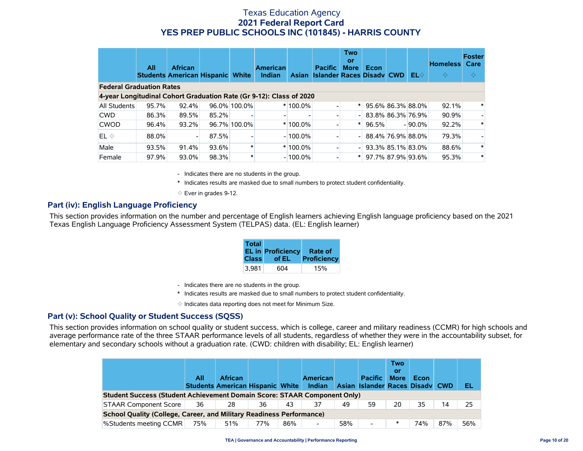|                                                                     | All   | <b>African</b><br><b>Students American Hispanic White</b> |       |              | <b>American</b><br><b>Indian</b> | <b>Asian</b> | <b>Pacific</b><br><b>Islander Races Disady CWD</b> | <b>Two</b><br>or<br><b>More</b> | Econ              | EL⊹       | <b>Homeless</b><br>$\Leftrightarrow$ | <b>Foster</b><br>Care<br>$\Leftrightarrow$ |
|---------------------------------------------------------------------|-------|-----------------------------------------------------------|-------|--------------|----------------------------------|--------------|----------------------------------------------------|---------------------------------|-------------------|-----------|--------------------------------------|--------------------------------------------|
| <b>Federal Graduation Rates</b>                                     |       |                                                           |       |              |                                  |              |                                                    |                                 |                   |           |                                      |                                            |
| 4-year Longitudinal Cohort Graduation Rate (Gr 9-12): Class of 2020 |       |                                                           |       |              |                                  |              |                                                    |                                 |                   |           |                                      |                                            |
| <b>All Students</b>                                                 | 95.7% | 92.4%                                                     |       | 96.0% 100.0% |                                  | $*100.0\%$   |                                                    | $\ast$                          | 95.6% 86.3% 88.0% |           | 92.1%                                | $\ast$                                     |
| <b>CWD</b>                                                          | 86.3% | 89.5%                                                     | 85.2% |              |                                  |              |                                                    |                                 | 83.8% 86.3% 76.9% |           | 90.9%                                |                                            |
| <b>CWOD</b>                                                         | 96.4% | 93.2%                                                     |       | 96.7% 100.0% |                                  | $*100.0\%$   |                                                    | $\ast$                          | 96.5%             | $-90.0\%$ | 92.2%                                | $\ast$                                     |
| $EL \diamondsuit$                                                   | 88.0% |                                                           | 87.5% |              |                                  | $-100.0\%$   |                                                    | $\overline{\phantom{a}}$        | 88.4% 76.9% 88.0% |           | 79.3%                                |                                            |
| Male                                                                | 93.5% | 91.4%                                                     | 93.6% |              |                                  | $*100.0\%$   |                                                    |                                 | 93.3% 85.1% 83.0% |           | 88.6%                                | $\ast$                                     |
| Female                                                              | 97.9% | 93.0%                                                     | 98.3% |              |                                  | $-100.0\%$   |                                                    | $\ast$                          | 97.7% 87.9% 93.6% |           | 95.3%                                | $\ast$                                     |

- Indicates there are no students in the group.

\* Indicates results are masked due to small numbers to protect student confidentiality.

 $\diamond$  Ever in grades 9-12.

#### **Part (iv): English Language Proficiency**

This section provides information on the number and percentage of English learners achieving English language proficiency based on the 2021 Texas English Language Proficiency Assessment System (TELPAS) data. (EL: English learner)

| <b>Total</b> |                          |                    |
|--------------|--------------------------|--------------------|
|              | <b>EL in Proficiency</b> | Rate of            |
| <b>Class</b> | of EL                    | <b>Proficiency</b> |
| 3.981        | 604                      | 15%                |

- Indicates there are no students in the group.
- \* Indicates results are masked due to small numbers to protect student confidentiality.

 $\diamond$  Indicates data reporting does not meet for Minimum Size.

#### **Part (v): School Quality or Student Success (SQSS)**

This section provides information on school quality or student success, which is college, career and military readiness (CCMR) for high schools and average performance rate of the three STAAR performance levels of all students, regardless of whether they were in the accountability subset, for elementary and secondary schools without a graduation rate. (CWD: children with disability; EL: English learner)

|                                                                             | All | <b>African</b><br><b>Students American Hispanic White</b> |     |     | <b>American</b><br>Indian |     | <b>Pacific</b><br>Asian Islander Races Disady CWD | <b>Two</b><br>or<br><b>More</b> | Econ |     | EL  |
|-----------------------------------------------------------------------------|-----|-----------------------------------------------------------|-----|-----|---------------------------|-----|---------------------------------------------------|---------------------------------|------|-----|-----|
| Student Success (Student Achievement Domain Score: STAAR Component Only)    |     |                                                           |     |     |                           |     |                                                   |                                 |      |     |     |
| <b>STAAR Component Score</b>                                                | 36  | 28                                                        | 36  | 43  | 37                        | 49  | 59                                                | 20                              | 35   | 14  | -25 |
| <b>School Quality (College, Career, and Military Readiness Performance)</b> |     |                                                           |     |     |                           |     |                                                   |                                 |      |     |     |
| %Students meeting CCMR                                                      | 75% | 51%                                                       | 77% | 86% |                           | 58% | -                                                 | *                               | 74%  | 87% | 56% |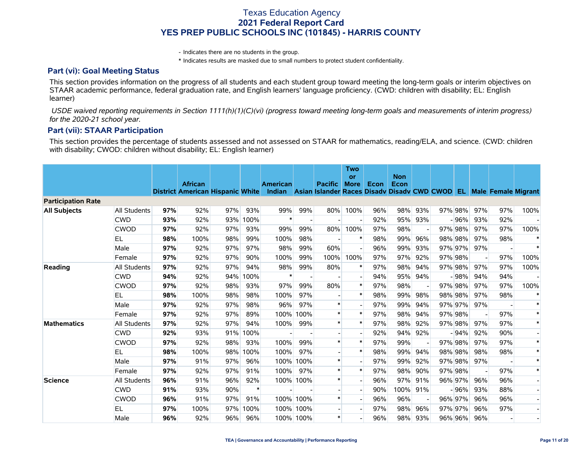- Indicates there are no students in the group.

\* Indicates results are masked due to small numbers to protect student confidentiality.

#### **Part (vi): Goal Meeting Status**

This section provides information on the progress of all students and each student group toward meeting the long-term goals or interim objectives on STAAR academic performance, federal graduation rate, and English learners' language proficiency. (CWD: children with disability; EL: English learner)

 *USDE waived reporting requirements in Section 1111(h)(1)(C)(vi) (progress toward meeting long-term goals and measurements of interim progress) for the 2020-21 school year.*

#### **Part (vii): STAAR Participation**

This section provides the percentage of students assessed and not assessed on STAAR for mathematics, reading/ELA, and science. (CWD: children with disability; CWOD: children without disability; EL: English learner)

|                           |                     |     |                                                           |     |        |                                                                                              |           |                          | Two<br>or   |      | <b>Non</b> |     |         |     |     |        |
|---------------------------|---------------------|-----|-----------------------------------------------------------|-----|--------|----------------------------------------------------------------------------------------------|-----------|--------------------------|-------------|------|------------|-----|---------|-----|-----|--------|
|                           |                     |     | <b>African</b><br><b>District American Hispanic White</b> |     |        | <b>American</b><br>Indian Asian Islander Races Disady Disady CWD CWOD EL Male Female Migrant |           | <b>Pacific</b>           | <b>More</b> | Econ | Econ       |     |         |     |     |        |
| <b>Participation Rate</b> |                     |     |                                                           |     |        |                                                                                              |           |                          |             |      |            |     |         |     |     |        |
| <b>All Subjects</b>       | <b>All Students</b> | 97% | 92%                                                       | 97% | 93%    | 99%                                                                                          | 99%       | 80%                      | 100%        | 96%  | 98%        | 93% | 97% 98% | 97% | 97% | 100%   |
|                           | <b>CWD</b>          | 93% | 92%                                                       | 93% | 100%   |                                                                                              |           |                          |             | 92%  | 95%        | 93% | $-96%$  | 93% | 92% |        |
|                           | <b>CWOD</b>         | 97% | 92%                                                       | 97% | 93%    | 99%                                                                                          | 99%       | 80%                      | 100%        | 97%  | 98%        |     | 97% 98% | 97% | 97% | 100%   |
|                           | EL                  | 98% | 100%                                                      | 98% | 99%    | 100%                                                                                         | 98%       |                          |             | 98%  | 99%        | 96% | 98% 98% | 97% | 98% |        |
|                           | Male                | 97% | 92%                                                       | 97% | 97%    | 98%                                                                                          | 99%       | 60%                      |             | 96%  | 99%        | 93% | 97% 97% | 97% |     |        |
|                           | Female              | 97% | 92%                                                       | 97% | 90%    | 100%                                                                                         | 99%       | 100%                     | 100%        | 97%  | 97%        | 92% | 97% 98% |     | 97% | 100%   |
| Reading                   | <b>All Students</b> | 97% | 92%                                                       | 97% | 94%    | 98%                                                                                          | 99%       | 80%                      |             | 97%  | 98%        | 94% | 97% 98% | 97% | 97% | 100%   |
|                           | <b>CWD</b>          | 94% | 92%                                                       | 94% | 100%   | $\ast$                                                                                       |           |                          |             | 94%  | 95%        | 94% | - 98%   | 94% | 94% |        |
|                           | <b>CWOD</b>         | 97% | 92%                                                       | 98% | 93%    | 97%                                                                                          | 99%       | 80%                      |             | 97%  | 98%        |     | 97% 98% | 97% | 97% | 100%   |
|                           | <b>EL</b>           | 98% | 100%                                                      | 98% | 98%    | 100%                                                                                         | 97%       |                          |             | 98%  | 99%        | 98% | 98% 98% | 97% | 98% |        |
|                           | Male                | 97% | 92%                                                       | 97% | 98%    | 96%                                                                                          | 97%       | $\ast$                   |             | 97%  | 99%        | 94% | 97% 97% | 97% |     | $\ast$ |
|                           | Female              | 97% | 92%                                                       | 97% | 89%    |                                                                                              | 100% 100% | $\ast$                   | $\ast$      | 97%  | 98%        | 94% | 97% 98% |     | 97% | $\ast$ |
| <b>Mathematics</b>        | <b>All Students</b> | 97% | 92%                                                       | 97% | 94%    | 100%                                                                                         | 99%       | $\ast$                   |             | 97%  | 98%        | 92% | 97% 98% | 97% | 97% | $\ast$ |
|                           | <b>CWD</b>          | 92% | 93%                                                       | 91% | 100%   |                                                                                              |           |                          |             | 92%  | 94%        | 92% | $-94%$  | 92% | 90% |        |
|                           | <b>CWOD</b>         | 97% | 92%                                                       | 98% | 93%    | 100%                                                                                         | 99%       | $\ast$                   |             | 97%  | 99%        |     | 97% 98% | 97% | 97% | $\ast$ |
|                           | EL                  | 98% | 100%                                                      | 98% | 100%   | 100%                                                                                         | 97%       |                          |             | 98%  | 99%        | 94% | 98% 98% | 98% | 98% | $\ast$ |
|                           | Male                | 97% | 91%                                                       | 97% | 96%    | 100%                                                                                         | 100%      | $\ast$                   |             | 97%  | 99%        | 92% | 97% 98% | 97% |     | $\ast$ |
|                           | Female              | 97% | 92%                                                       | 97% | 91%    | 100%                                                                                         | 97%       | $\ast$                   | $\ast$      | 97%  | 98%        | 90% | 97% 98% |     | 97% | $\ast$ |
| <b>Science</b>            | All Students        | 96% | 91%                                                       | 96% | 92%    |                                                                                              | 100% 100% | $\ast$                   |             | 96%  | 97%        | 91% | 96% 97% | 96% | 96% |        |
|                           | <b>CWD</b>          | 91% | 93%                                                       | 90% | $\ast$ |                                                                                              |           |                          |             | 90%  | 100%       | 91% | - 96%   | 93% | 88% |        |
|                           | <b>CWOD</b>         | 96% | 91%                                                       | 97% | 91%    |                                                                                              | 100% 100% | $\ast$                   |             | 96%  | 96%        |     | 96% 97% | 96% | 96% |        |
|                           | EL                  | 97% | 100%                                                      | 97% | 100%   |                                                                                              | 100% 100% | $\overline{\phantom{a}}$ |             | 97%  | 98%        | 96% | 97% 97% | 96% | 97% |        |
|                           | Male                | 96% | 92%                                                       | 96% | 96%    |                                                                                              | 100% 100% | $\ast$                   |             | 96%  | 98%        | 93% | 96% 96% | 96% |     |        |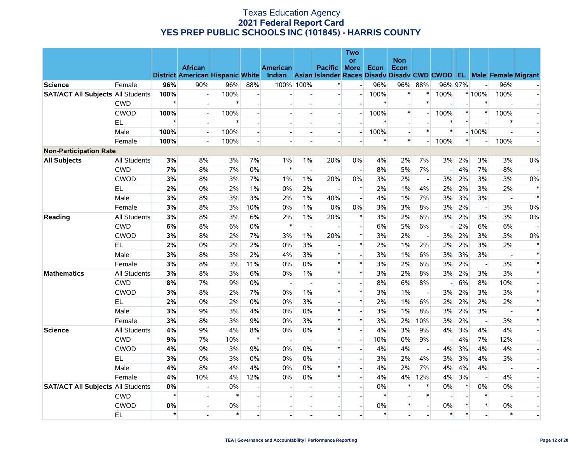|                                          |                     |         |                                                    |        |        |                                                                                              |                          |                          | Two                      |        |                |                          |        |                          |                          |                          |                          |
|------------------------------------------|---------------------|---------|----------------------------------------------------|--------|--------|----------------------------------------------------------------------------------------------|--------------------------|--------------------------|--------------------------|--------|----------------|--------------------------|--------|--------------------------|--------------------------|--------------------------|--------------------------|
|                                          |                     |         |                                                    |        |        |                                                                                              |                          |                          | <b>or</b>                |        | <b>Non</b>     |                          |        |                          |                          |                          |                          |
|                                          |                     |         | <b>African</b><br>District American Hispanic White |        |        | <b>American</b><br>Indian Asian Islander Races Disady Disady CWD CWOD EL Male Female Migrant |                          | <b>Pacific</b>           | <b>More</b>              | Econ   | Econ           |                          |        |                          |                          |                          |                          |
| <b>Science</b>                           | Female              | 96%     | 90%                                                | 96%    | 88%    |                                                                                              | 100% 100%                | $\ast$                   |                          | 96%    | 96%            | 88%                      |        | 96% 97%                  | $\overline{a}$           | 96%                      |                          |
| <b>SAT/ACT All Subjects All Students</b> |                     | 100%    | $\sim$                                             | 100%   |        |                                                                                              |                          | $\sim$                   | $\overline{a}$           | 100%   | $\ast$         | $\ast$                   | 100%   |                          | * 100%                   | 100%                     | $\overline{\phantom{a}}$ |
|                                          | <b>CWD</b>          | $\star$ | $\overline{\phantom{a}}$                           | $\ast$ |        |                                                                                              |                          | $\overline{\phantom{a}}$ |                          |        | $\overline{a}$ | $\ast$                   |        | $\overline{\phantom{a}}$ | $\ast$                   |                          |                          |
|                                          | <b>CWOD</b>         | 100%    | $\overline{\phantom{a}}$                           | 100%   |        |                                                                                              |                          | $\overline{\phantom{a}}$ |                          | 100%   | $\pmb{\ast}$   |                          | 100%   | $\pmb{\ast}$             | $\ast$                   | 100%                     |                          |
|                                          | EL.                 | $\star$ |                                                    |        |        |                                                                                              |                          | ÷                        |                          |        |                |                          |        | $\ast$                   |                          | $\ast$                   |                          |
|                                          | Male                | 100%    | $\overline{\phantom{a}}$                           | 100%   |        |                                                                                              |                          | $\overline{\phantom{a}}$ |                          | 100%   | $\overline{a}$ | $\ast$                   | $\ast$ |                          | $-100%$                  |                          |                          |
|                                          | Female              | 100%    | $\sim$                                             | 100%   |        |                                                                                              |                          | $\overline{\phantom{a}}$ |                          | $\ast$ | $\ast$         |                          | 100%   | $\ast$                   | $\blacksquare$           | 100%                     |                          |
| <b>Non-Participation Rate</b>            |                     |         |                                                    |        |        |                                                                                              |                          |                          |                          |        |                |                          |        |                          |                          |                          |                          |
| <b>All Subjects</b>                      | All Students        | 3%      | 8%                                                 | 3%     | 7%     | $1\%$                                                                                        | $1\%$                    | 20%                      | $0\%$                    | 4%     | 2%             | 7%                       | 3%     | 2%                       | 3%                       | 3%                       | 0%                       |
|                                          | <b>CWD</b>          | 7%      | 8%                                                 | 7%     | 0%     | $\ast$                                                                                       |                          |                          |                          | 8%     | 5%             | 7%                       |        | 4%                       | 7%                       | 8%                       |                          |
|                                          | <b>CWOD</b>         | 3%      | 8%                                                 | 3%     | 7%     | 1%                                                                                           | 1%                       | 20%                      | 0%                       | 3%     | 2%             | $\overline{a}$           | 3%     | 2%                       | 3%                       | 3%                       | 0%                       |
|                                          | EL.                 | 2%      | 0%                                                 | 2%     | 1%     | 0%                                                                                           | 2%                       | $\overline{\phantom{a}}$ | $\ast$                   | 2%     | $1\%$          | 4%                       | 2%     | 2%                       | 3%                       | 2%                       | $\ast$                   |
|                                          | Male                | 3%      | 8%                                                 | 3%     | 3%     | 2%                                                                                           | $1\%$                    | 40%                      | $\overline{\phantom{a}}$ | 4%     | $1\%$          | 7%                       | 3%     | 3%                       | 3%                       | $\overline{\phantom{a}}$ | $\ast$                   |
|                                          | Female              | 3%      | 8%                                                 | 3%     | 10%    | 0%                                                                                           | 1%                       | 0%                       | $0\%$                    | 3%     | 3%             | 8%                       | 3%     | 2%                       | $\overline{\phantom{a}}$ | 3%                       | 0%                       |
| Reading                                  | All Students        | 3%      | 8%                                                 | 3%     | 6%     | 2%                                                                                           | $1\%$                    | 20%                      | $\ast$                   | 3%     | 2%             | 6%                       | 3%     | 2%                       | 3%                       | 3%                       | 0%                       |
|                                          | <b>CWD</b>          | 6%      | 8%                                                 | 6%     | 0%     | $\ast$                                                                                       | $\overline{\phantom{a}}$ |                          |                          | 6%     | 5%             | 6%                       |        | 2%                       | 6%                       | 6%                       |                          |
|                                          | <b>CWOD</b>         | 3%      | 8%                                                 | 2%     | 7%     | 3%                                                                                           | $1\%$                    | 20%                      | $\ast$                   | 3%     | 2%             | $\overline{\phantom{a}}$ | 3%     | 2%                       | 3%                       | 3%                       | 0%                       |
|                                          | EL                  | 2%      | 0%                                                 | 2%     | 2%     | 0%                                                                                           | 3%                       |                          | $\ast$                   | 2%     | $1\%$          | 2%                       | 2%     | 2%                       | 3%                       | 2%                       | $\ast$                   |
|                                          | Male                | 3%      | 8%                                                 | 3%     | 2%     | 4%                                                                                           | 3%                       | $\ast$                   |                          | 3%     | $1\%$          | 6%                       | 3%     | 3%                       | 3%                       |                          | $\ast$                   |
|                                          | Female              | 3%      | 8%                                                 | 3%     | 11%    | 0%                                                                                           | 0%                       | $\ast$                   | $\ast$                   | 3%     | 2%             | 6%                       | 3%     | 2%                       | $\mathbf{L}$             | 3%                       | $\ast$                   |
| <b>Mathematics</b>                       | <b>All Students</b> | 3%      | 8%                                                 | 3%     | 6%     | 0%                                                                                           | $1\%$                    | $\ast$                   | $\ast$                   | 3%     | 2%             | 8%                       | 3%     | 2%                       | 3%                       | 3%                       | $\ast$                   |
|                                          | <b>CWD</b>          | 8%      | 7%                                                 | 9%     | 0%     | $\overline{\phantom{a}}$                                                                     |                          | $\overline{\phantom{a}}$ | $\overline{\phantom{a}}$ | 8%     | 6%             | 8%                       |        | 6%                       | 8%                       | 10%                      |                          |
|                                          | <b>CWOD</b>         | 3%      | 8%                                                 | 2%     | 7%     | 0%                                                                                           | 1%                       | $\ast$                   | $\ast$                   | 3%     | $1\%$          | $\sim$                   | 3%     | 2%                       | 3%                       | 3%                       | $\ast$                   |
|                                          | EL                  | 2%      | 0%                                                 | 2%     | 0%     | 0%                                                                                           | 3%                       | $\overline{a}$           | $\ast$                   | 2%     | $1\%$          | 6%                       | 2%     | 2%                       | 2%                       | 2%                       | $\ast$                   |
|                                          | Male                | 3%      | 9%                                                 | 3%     | 4%     | 0%                                                                                           | 0%                       | $\ast$                   |                          | 3%     | 1%             | 8%                       | 3%     | 2%                       | 3%                       | $\overline{a}$           | $\ast$                   |
|                                          | Female              | 3%      | 8%                                                 | 3%     | 9%     | 0%                                                                                           | 3%                       | $\ast$                   | $\ast$                   | 3%     | 2%             | 10%                      | 3%     | 2%                       | $\overline{\phantom{a}}$ | 3%                       | $\ast$                   |
| <b>Science</b>                           | All Students        | 4%      | 9%                                                 | 4%     | 8%     | 0%                                                                                           | 0%                       | $\ast$                   |                          | 4%     | 3%             | 9%                       | 4%     | 3%                       | 4%                       | 4%                       |                          |
|                                          | <b>CWD</b>          | 9%      | 7%                                                 | 10%    | $\ast$ | $\blacksquare$                                                                               |                          |                          |                          | 10%    | $0\%$          | 9%                       |        | 4%                       | 7%                       | 12%                      |                          |
|                                          | <b>CWOD</b>         | 4%      | 9%                                                 | 3%     | 9%     | 0%                                                                                           | 0%                       | $\ast$                   |                          | 4%     | 4%             |                          | 4%     | 3%                       | 4%                       | 4%                       |                          |
|                                          | <b>EL</b>           | 3%      | 0%                                                 | 3%     | 0%     | 0%                                                                                           | 0%                       | $\overline{\phantom{a}}$ | $\overline{a}$           | 3%     | 2%             | 4%                       | 3%     | 3%                       | 4%                       | 3%                       | $\overline{\phantom{a}}$ |
|                                          | Male                | 4%      | 8%                                                 | 4%     | 4%     | 0%                                                                                           | 0%                       | $\ast$                   | $\overline{\phantom{a}}$ | 4%     | 2%             | 7%                       | 4%     | 4%                       | 4%                       | $\blacksquare$           | $\overline{\phantom{a}}$ |
|                                          | Female              | 4%      | 10%                                                | 4%     | 12%    | 0%                                                                                           | $0\%$                    | $\ast$                   |                          | 4%     | 4%             | 12%                      | 4%     | 3%                       | $\overline{\phantom{a}}$ | 4%                       |                          |
| <b>SAT/ACT All Subjects All Students</b> |                     | 0%      |                                                    | $0\%$  |        |                                                                                              |                          |                          |                          | 0%     | $\ast$         | $\ast$                   | 0%     | $\ast$                   | 0%                       | 0%                       |                          |
|                                          | <b>CWD</b>          | $\star$ | $\overline{a}$                                     | $\ast$ |        |                                                                                              |                          | $\overline{\phantom{a}}$ |                          | $\ast$ | $\overline{a}$ | $\ast$                   |        | $\overline{a}$           | $\ast$                   |                          |                          |
|                                          | <b>CWOD</b>         | 0%      | $\overline{a}$                                     | 0%     |        |                                                                                              |                          | $\blacksquare$           | $\overline{a}$           | 0%     | $\ast$         | $\overline{a}$           | 0%     | $\ast$                   | $\ast$                   | 0%                       |                          |
|                                          | EL                  | $\star$ |                                                    | $\ast$ |        |                                                                                              |                          |                          |                          | $\ast$ |                |                          | $\ast$ | $\ast$                   |                          | $\ast$                   |                          |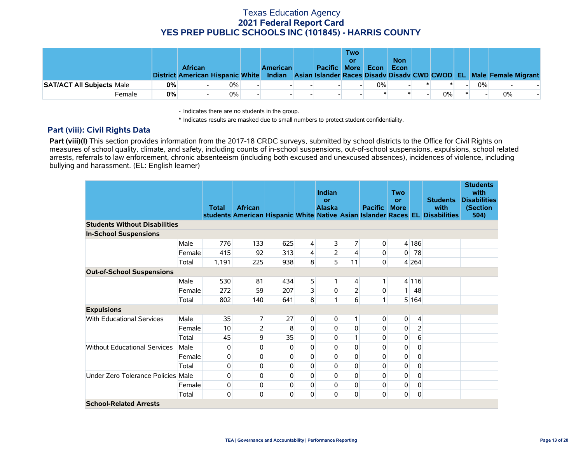|                                  |        |    | <b>African</b><br>District American Hispanic White |       | <b>American</b><br>Indian Asian Islander Races Disady Disady CWD CWOD EL Male Female Migrant | <b>Pacific More</b> | <b>Two</b><br>or | Econ | <b>Non</b><br>Econ |       |       |       |  |
|----------------------------------|--------|----|----------------------------------------------------|-------|----------------------------------------------------------------------------------------------|---------------------|------------------|------|--------------------|-------|-------|-------|--|
| <b>SAT/ACT All Subjects Male</b> |        | 0% |                                                    | $0\%$ |                                                                                              |                     |                  | 0%   |                    |       | $0\%$ |       |  |
|                                  | Female | 0% |                                                    | 0%    |                                                                                              |                     |                  |      |                    | $0\%$ |       | $0\%$ |  |

- Indicates there are no students in the group.

\* Indicates results are masked due to small numbers to protect student confidentiality.

#### **Part (viii): Civil Rights Data**

Part (viii)(I) This section provides information from the 2017-18 CRDC surveys, submitted by school districts to the Office for Civil Rights on measures of school quality, climate, and safety, including counts of in-school suspensions, out-of-school suspensions, expulsions, school related arrests, referrals to law enforcement, chronic absenteeism (including both excused and unexcused absences), incidences of violence, including bullying and harassment. (EL: English learner)

|                                      |        | <b>Total</b> | <b>African</b> |          |                         | <b>Indian</b><br>or<br><b>Alaska</b> |                | <b>Pacific</b> | <b>Two</b><br><b>or</b><br><b>More</b> |                  | <b>Students</b><br>with<br>students American Hispanic White Native Asian Islander Races EL Disabilities | <b>Students</b><br>with<br><b>Disabilities</b><br>(Section<br>504) |
|--------------------------------------|--------|--------------|----------------|----------|-------------------------|--------------------------------------|----------------|----------------|----------------------------------------|------------------|---------------------------------------------------------------------------------------------------------|--------------------------------------------------------------------|
| <b>Students Without Disabilities</b> |        |              |                |          |                         |                                      |                |                |                                        |                  |                                                                                                         |                                                                    |
| <b>In-School Suspensions</b>         |        |              |                |          |                         |                                      |                |                |                                        |                  |                                                                                                         |                                                                    |
|                                      | Male   | 776          | 133            | 625      | 4                       | 3                                    | $\overline{7}$ | $\overline{0}$ |                                        | 4 186            |                                                                                                         |                                                                    |
|                                      | Female | 415          | 92             | 313      | $\overline{\mathbf{4}}$ | $\overline{2}$                       | 4              | $\overline{0}$ | 0                                      | 78               |                                                                                                         |                                                                    |
|                                      | Total  | 1,191        | 225            | 938      | 8                       | $\overline{5}$                       | 11             | $\overline{0}$ |                                        | 4 2 6 4          |                                                                                                         |                                                                    |
| <b>Out-of-School Suspensions</b>     |        |              |                |          |                         |                                      |                |                |                                        |                  |                                                                                                         |                                                                    |
|                                      | Male   | 530          | 81             | 434      | 5                       | 1 <sub>1</sub>                       | $\overline{4}$ | $\mathbf{1}$   |                                        | 4 1 1 6          |                                                                                                         |                                                                    |
|                                      | Female | 272          | 59             | 207      | 3                       | 0                                    | $\overline{2}$ | $\overline{0}$ | 1 <sup>1</sup>                         | 48               |                                                                                                         |                                                                    |
|                                      | Total  | 802          | 140            | 641      | 8                       |                                      | 6              | 1              |                                        | 5 164            |                                                                                                         |                                                                    |
| <b>Expulsions</b>                    |        |              |                |          |                         |                                      |                |                |                                        |                  |                                                                                                         |                                                                    |
| <b>With Educational Services</b>     | Male   | 35           | 7              | 27       | 0                       | 0                                    | $\mathbf{1}$   | $\overline{0}$ | 0                                      | $\overline{4}$   |                                                                                                         |                                                                    |
|                                      | Female | 10           | $\overline{2}$ | 8        | 0                       | 0                                    | $\Omega$       | $\mathbf 0$    | $\pmb{0}$                              | $\overline{2}$   |                                                                                                         |                                                                    |
|                                      | Total  | 45           | 9              | 35       | 0                       | 0                                    | 1              | $\Omega$       | 0                                      | $6 \overline{6}$ |                                                                                                         |                                                                    |
| <b>Without Educational Services</b>  | Male   | 0            | 0              | 0        | 0                       | 0                                    | 0              | 0              | 0                                      | 0                |                                                                                                         |                                                                    |
|                                      | Female | 0            | 0              | 0        | 0                       | 0                                    | $\Omega$       | $\Omega$       | 0                                      | $\Omega$         |                                                                                                         |                                                                    |
|                                      | Total  | 0            | 0              | $\Omega$ | 0                       | 0                                    | $\Omega$       | 0              | 0                                      | 0                |                                                                                                         |                                                                    |
| Under Zero Tolerance Policies Male   |        | 0            | 0              | 0        | 0                       | 0                                    | 0              | 0              | $\pmb{0}$                              | $\mathbf 0$      |                                                                                                         |                                                                    |
|                                      | Female | 0            | 0              | 0        | 0                       | 0                                    | $\overline{0}$ | $\overline{0}$ | 0                                      | $\overline{0}$   |                                                                                                         |                                                                    |
|                                      | Total  | 0            | 0              | 0        | 0                       | 0                                    | $\mathbf{0}$   | $\overline{0}$ | $\pmb{0}$                              | $\pmb{0}$        |                                                                                                         |                                                                    |
| <b>School-Related Arrests</b>        |        |              |                |          |                         |                                      |                |                |                                        |                  |                                                                                                         |                                                                    |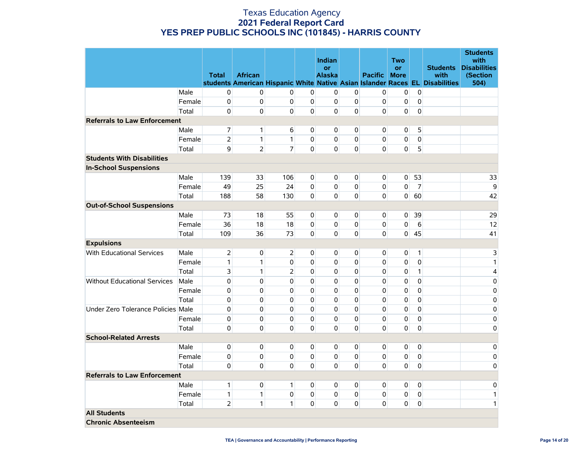|                                     |        | <b>Total</b>   | <b>African</b> |                |                | Indian<br><b>or</b><br><b>Alaska</b> |                | <b>Pacific</b> | <b>Two</b><br><b>or</b><br><b>More</b> |                | <b>Students</b><br>with<br>students American Hispanic White Native Asian Islander Races EL Disabilities | <b>Students</b><br>with<br><b>Disabilities</b><br>(Section<br>504) |
|-------------------------------------|--------|----------------|----------------|----------------|----------------|--------------------------------------|----------------|----------------|----------------------------------------|----------------|---------------------------------------------------------------------------------------------------------|--------------------------------------------------------------------|
|                                     | Male   | 0              | 0              | 0              | 0              | 0                                    | $\overline{0}$ | $\overline{0}$ | 0                                      | $\mathbf 0$    |                                                                                                         |                                                                    |
|                                     | Female | 0              | 0              | 0              | 0              | 0                                    | 0              | $\overline{0}$ | 0                                      | $\pmb{0}$      |                                                                                                         |                                                                    |
|                                     | Total  | 0              | $\Omega$       | $\Omega$       | $\overline{0}$ | $\Omega$                             | $\overline{0}$ | $\Omega$       | $\mathbf{0}$                           | $\pmb{0}$      |                                                                                                         |                                                                    |
| <b>Referrals to Law Enforcement</b> |        |                |                |                |                |                                      |                |                |                                        |                |                                                                                                         |                                                                    |
|                                     | Male   | $\overline{7}$ | $\vert$        | 6              | 0              | $\mathbf{0}$                         | $\mathbf 0$    | $\overline{0}$ | $\overline{0}$                         | 5              |                                                                                                         |                                                                    |
|                                     | Female | $\overline{2}$ | $\mathbf{1}$   | $\mathbf{1}$   | 0              | $\mathbf 0$                          | $\mathbf{0}$   | $\mathbf{0}$   | $\overline{0}$                         | $\overline{0}$ |                                                                                                         |                                                                    |
|                                     | Total  | 9              | $\overline{2}$ | $\overline{7}$ | 0              | 0                                    | $\overline{0}$ | $\overline{0}$ | $\overline{0}$                         | 5              |                                                                                                         |                                                                    |
| <b>Students With Disabilities</b>   |        |                |                |                |                |                                      |                |                |                                        |                |                                                                                                         |                                                                    |
| <b>In-School Suspensions</b>        |        |                |                |                |                |                                      |                |                |                                        |                |                                                                                                         |                                                                    |
|                                     | Male   | 139            | 33             | 106            | 0              | $\mathbf{0}$                         | 0              | $\overline{0}$ | $\overline{0}$                         | 53             |                                                                                                         | 33                                                                 |
|                                     | Female | 49             | 25             | 24             | 0              | 0                                    | $\mathbf 0$    | 0              | 0                                      | 7              |                                                                                                         | 9                                                                  |
|                                     | Total  | 188            | 58             | 130            | 0              | 0                                    | $\mathbf{0}$   | $\overline{0}$ | $\overline{0}$                         | 60             |                                                                                                         | 42                                                                 |
| <b>Out-of-School Suspensions</b>    |        |                |                |                |                |                                      |                |                |                                        |                |                                                                                                         |                                                                    |
|                                     | Male   | 73             | 18             | 55             | 0              | $\mathbf{0}$                         | $\overline{0}$ | $\overline{0}$ | $\overline{0}$                         | 39             |                                                                                                         | 29                                                                 |
|                                     | Female | 36             | 18             | 18             | 0              | 0                                    | $\Omega$       | $\mathbf 0$    | 0                                      | 6              |                                                                                                         | 12                                                                 |
|                                     | Total  | 109            | 36             | 73             | 0              | 0                                    | 0              | 0              | $\overline{0}$                         | 45             |                                                                                                         | 41                                                                 |
| <b>Expulsions</b>                   |        |                |                |                |                |                                      |                |                |                                        |                |                                                                                                         |                                                                    |
| With Educational Services           | Male   | $\overline{2}$ | $\overline{0}$ | 2              | 0              | $\mathbf{0}$                         | $\overline{0}$ | $\overline{0}$ | 0                                      | $\mathbf{1}$   |                                                                                                         | 3                                                                  |
|                                     | Female | 1              | $\mathbf{1}$   | 0              | 0              | 0                                    | 0              | $\mathbf 0$    | 0                                      | $\mathbf 0$    |                                                                                                         | 1                                                                  |
|                                     | Total  | 3              | $\mathbf{1}$   | $\overline{2}$ | 0              | 0                                    | $\Omega$       | 0              | 0                                      | $\mathbf{1}$   |                                                                                                         | 4                                                                  |
| <b>Without Educational Services</b> | Male   | 0              | 0              | $\Omega$       | 0              | 0                                    | 0              | $\mathbf 0$    | $\mathbf 0$                            | $\Omega$       |                                                                                                         | $\mathbf 0$                                                        |
|                                     | Female | 0              | 0              | 0              | 0              | 0                                    | 0              | 0              | 0                                      | $\pmb{0}$      |                                                                                                         | $\mathbf 0$                                                        |
|                                     | Total  | 0              | 0              | 0              | 0              | 0                                    | 0              | $\mathbf 0$    | $\mathbf 0$                            | $\pmb{0}$      |                                                                                                         | $\mathbf 0$                                                        |
| Under Zero Tolerance Policies Male  |        | 0              | 0              | 0              | 0              | 0                                    | 0              | 0              | 0                                      | $\mathbf 0$    |                                                                                                         | 0                                                                  |
|                                     | Female | 0              | 0              | $\Omega$       | 0              | 0                                    | 0              | 0              | 0                                      | $\mathbf 0$    |                                                                                                         | 0                                                                  |
|                                     | Total  | 0              | 0              | $\Omega$       | 0              | 0                                    | 0              | 0              | 0                                      | $\pmb{0}$      |                                                                                                         | $\mathbf 0$                                                        |
| <b>School-Related Arrests</b>       |        |                |                |                |                |                                      |                |                |                                        |                |                                                                                                         |                                                                    |
|                                     | Male   | 0              | 0              | 0              | 0              | 0                                    | 0              | 0              | 0                                      | 0              |                                                                                                         | 0                                                                  |
|                                     | Female | 0              | $\overline{0}$ | 0              | 0              | 0                                    | $\mathbf{0}$   | $\mathbf{0}$   | $\pmb{0}$                              | $\pmb{0}$      |                                                                                                         | $\mathbf 0$                                                        |
|                                     | Total  | 0              | $\overline{0}$ | $\Omega$       | 0              | 0                                    | $\overline{0}$ | $\Omega$       | $\overline{0}$                         | $\pmb{0}$      |                                                                                                         | $\mathbf 0$                                                        |
| <b>Referrals to Law Enforcement</b> |        |                |                |                |                |                                      |                |                |                                        |                |                                                                                                         |                                                                    |
|                                     | Male   | $\mathbf{1}$   | 0              | $\mathbf{1}$   | 0              | 0                                    | 0              | $\overline{0}$ | 0                                      | $\mathbf 0$    |                                                                                                         | $\mathbf 0$                                                        |
|                                     | Female | $\mathbf{1}$   | $\mathbf{1}$   | 0              | 0              | 0                                    | $\mathbf 0$    | 0              | $\pmb{0}$                              | 0              |                                                                                                         | 1                                                                  |
|                                     | Total  | $\overline{2}$ | $\mathbf{1}$   | 1              | 0              | 0                                    | 0              | $\overline{0}$ | $\overline{0}$                         | $\pmb{0}$      |                                                                                                         | 1                                                                  |
| <b>All Students</b>                 |        |                |                |                |                |                                      |                |                |                                        |                |                                                                                                         |                                                                    |
| <b>Chronic Absenteeism</b>          |        |                |                |                |                |                                      |                |                |                                        |                |                                                                                                         |                                                                    |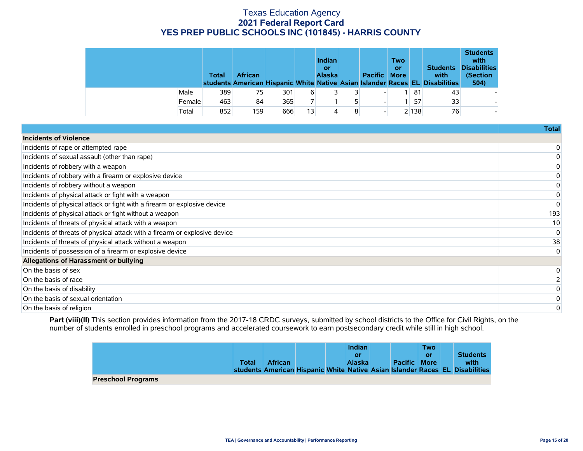|        | Total | <b>African</b> |     |                 | <b>Indian</b><br>or<br>Alaska | <b>Pacific</b> | <b>Two</b><br>or<br><b>More</b> |         | <b>Students</b><br>with<br>students American Hispanic White Native Asian Islander Races EL Disabilities | <b>Students</b><br>with<br><b>Disabilities</b><br>(Section<br>504) |
|--------|-------|----------------|-----|-----------------|-------------------------------|----------------|---------------------------------|---------|---------------------------------------------------------------------------------------------------------|--------------------------------------------------------------------|
| Male   | 389   | 75             | 301 | 6               |                               |                |                                 | 81      | 43                                                                                                      |                                                                    |
| Female | 463   | 84             | 365 |                 |                               |                |                                 | 57      | 33                                                                                                      |                                                                    |
| Total  | 852   | 159            | 666 | 13 <sub>1</sub> |                               |                |                                 | 2 1 3 8 | 76                                                                                                      |                                                                    |

|                                                                            | <b>Total</b> |
|----------------------------------------------------------------------------|--------------|
| Incidents of Violence                                                      |              |
| Incidents of rape or attempted rape                                        |              |
| Incidents of sexual assault (other than rape)                              |              |
| Incidents of robbery with a weapon                                         |              |
| Incidents of robbery with a firearm or explosive device                    |              |
| Incidents of robbery without a weapon                                      |              |
| Incidents of physical attack or fight with a weapon                        |              |
| Incidents of physical attack or fight with a firearm or explosive device   |              |
| Incidents of physical attack or fight without a weapon                     | 193          |
| Incidents of threats of physical attack with a weapon                      | 10           |
| Incidents of threats of physical attack with a firearm or explosive device | 0            |
| Incidents of threats of physical attack without a weapon                   | 38           |
| Incidents of possession of a firearm or explosive device                   | 0            |
| Allegations of Harassment or bullying                                      |              |
| On the basis of sex                                                        |              |
| On the basis of race                                                       |              |
| On the basis of disability                                                 |              |
| On the basis of sexual orientation                                         |              |
| On the basis of religion                                                   | 0            |

Part (viii)(II) This section provides information from the 2017-18 CRDC surveys, submitted by school districts to the Office for Civil Rights, on the number of students enrolled in preschool programs and accelerated coursework to earn postsecondary credit while still in high school.

|                           |              |                |  | Indian        |                     | <b>Two</b> |                                                                              |
|---------------------------|--------------|----------------|--|---------------|---------------------|------------|------------------------------------------------------------------------------|
|                           |              |                |  | or            |                     | <b>Or</b>  | <b>Students</b>                                                              |
|                           | <b>Total</b> | <b>African</b> |  | <b>Alaska</b> | <b>Pacific More</b> |            | with                                                                         |
|                           |              |                |  |               |                     |            | students American Hispanic White Native Asian Islander Races EL Disabilities |
| <b>Preschool Programs</b> |              |                |  |               |                     |            |                                                                              |

**TEA | Governance and Accountability | Performance Reporting Page 15 of 20**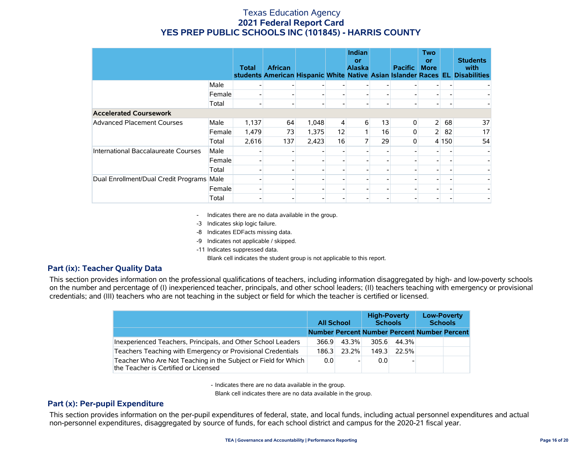|                                           |        | <b>Total</b> | <b>African</b> |       |                | Indian<br>or<br><b>Alaska</b> |    | <b>Pacific</b> | <b>Two</b><br><b>or</b><br><b>More</b> |       | <b>Students</b><br>with<br>students American Hispanic White Native Asian Islander Races EL Disabilities |
|-------------------------------------------|--------|--------------|----------------|-------|----------------|-------------------------------|----|----------------|----------------------------------------|-------|---------------------------------------------------------------------------------------------------------|
|                                           | Male   |              |                |       |                |                               |    |                |                                        |       |                                                                                                         |
|                                           | Female |              |                |       |                |                               |    |                |                                        |       |                                                                                                         |
|                                           | Total  |              |                |       |                |                               |    |                |                                        |       |                                                                                                         |
| <b>Accelerated Coursework</b>             |        |              |                |       |                |                               |    |                |                                        |       |                                                                                                         |
| <b>Advanced Placement Courses</b>         | Male   | 1,137        | 64             | 1,048 | $\overline{4}$ | 6                             | 13 | 0              | 2                                      | 68    | 37                                                                                                      |
|                                           | Female | 1,479        | 73             | 1,375 | 12             |                               | 16 | 0              | 2                                      | 82    | 17                                                                                                      |
|                                           | Total  | 2,616        | 137            | 2,423 | 16             |                               | 29 | 0              |                                        | 4 150 | 54                                                                                                      |
| International Baccalaureate Courses       | Male   |              |                |       |                |                               |    |                |                                        |       |                                                                                                         |
|                                           | Female |              |                |       |                |                               |    |                |                                        |       |                                                                                                         |
|                                           | Total  |              |                |       |                |                               |    |                |                                        |       |                                                                                                         |
| Dual Enrollment/Dual Credit Programs Male |        |              |                |       |                |                               |    |                |                                        |       |                                                                                                         |
|                                           | Female |              |                |       |                |                               |    |                |                                        |       |                                                                                                         |
|                                           | Total  |              |                |       |                |                               |    |                |                                        |       |                                                                                                         |

- Indicates there are no data available in the group.

-3 Indicates skip logic failure.

-8 Indicates EDFacts missing data.

-9 Indicates not applicable / skipped.

-11 Indicates suppressed data.

Blank cell indicates the student group is not applicable to this report.

#### **Part (ix): Teacher Quality Data**

This section provides information on the professional qualifications of teachers, including information disaggregated by high- and low-poverty schools on the number and percentage of (I) inexperienced teacher, principals, and other school leaders; (II) teachers teaching with emergency or provisional credentials; and (III) teachers who are not teaching in the subject or field for which the teacher is certified or licensed.

|                                                                                                        | <b>All School</b>                            |       | <b>High-Poverty</b> | <b>Schools</b> | <b>Schools</b> | <b>Low-Poverty</b> |
|--------------------------------------------------------------------------------------------------------|----------------------------------------------|-------|---------------------|----------------|----------------|--------------------|
|                                                                                                        | Number Percent Number Percent Number Percent |       |                     |                |                |                    |
| Inexperienced Teachers, Principals, and Other School Leaders                                           | 366.9                                        | 43.3% | 305.6               | 44.3%          |                |                    |
| Teachers Teaching with Emergency or Provisional Credentials                                            | 186.3                                        | 23.2% | 149.3               | 22.5%          |                |                    |
| Teacher Who Are Not Teaching in the Subject or Field for Which<br>the Teacher is Certified or Licensed | 0.0                                          |       | 0.0                 |                |                |                    |

- Indicates there are no data available in the group.

Blank cell indicates there are no data available in the group.

#### **Part (x): Per-pupil Expenditure**

This section provides information on the per-pupil expenditures of federal, state, and local funds, including actual personnel expenditures and actual non-personnel expenditures, disaggregated by source of funds, for each school district and campus for the 2020-21 fiscal year.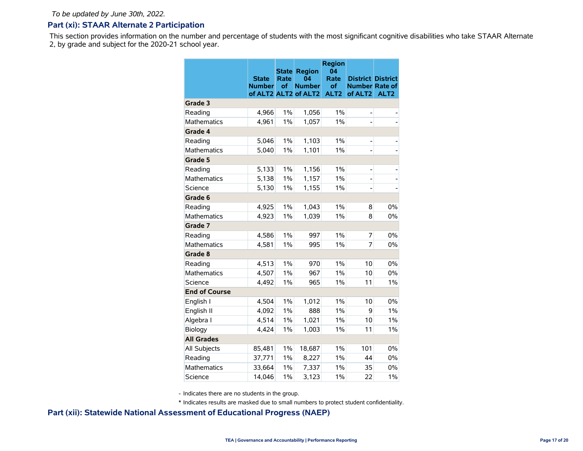#### **Part (xi): STAAR Alternate 2 Participation**

This section provides information on the number and percentage of students with the most significant cognitive disabilities who take STAAR Alternate 2, by grade and subject for the 2020-21 school year.

|                      | <b>State</b><br><b>Number</b> | Rate<br>of | <b>State Region</b><br>04<br><b>Number</b><br>of ALT2 ALT2 of ALT2 | <b>Region</b><br>04<br>Rate<br><b>of</b><br>ALT <sub>2</sub> | <b>Number Rate of</b><br>of ALT <sub>2</sub> | <b>District District</b><br>ALT <sub>2</sub> |
|----------------------|-------------------------------|------------|--------------------------------------------------------------------|--------------------------------------------------------------|----------------------------------------------|----------------------------------------------|
| Grade 3              |                               |            |                                                                    |                                                              |                                              |                                              |
| Reading              | 4,966                         | $1\%$      | 1,056                                                              | $1\%$                                                        | -                                            |                                              |
| <b>Mathematics</b>   | 4,961                         | 1%         | 1,057                                                              | $1\%$                                                        |                                              |                                              |
| Grade 4              |                               |            |                                                                    |                                                              |                                              |                                              |
| Reading              | 5,046                         | $1\%$      | 1,103                                                              | $1\%$                                                        |                                              |                                              |
| Mathematics          | 5,040                         | $1\%$      | 1,101                                                              | $1\%$                                                        |                                              |                                              |
| Grade 5              |                               |            |                                                                    |                                                              |                                              |                                              |
| Reading              | 5,133                         | $1\%$      | 1,156                                                              | 1%                                                           |                                              |                                              |
| Mathematics          | 5,138                         | $1\%$      | 1,157                                                              | $1\%$                                                        |                                              |                                              |
| Science              | 5,130                         | $1\%$      | 1,155                                                              | 1%                                                           |                                              |                                              |
| Grade 6              |                               |            |                                                                    |                                                              |                                              |                                              |
| Reading              | 4,925                         | $1\%$      | 1,043                                                              | $1\%$                                                        | 8                                            | $0\%$                                        |
| <b>Mathematics</b>   | 4,923                         | 1%         | 1,039                                                              | 1%                                                           | 8                                            | 0%                                           |
| Grade 7              |                               |            |                                                                    |                                                              |                                              |                                              |
| Reading              | 4,586                         | $1\%$      | 997                                                                | $1\%$                                                        | 7                                            | 0%                                           |
| <b>Mathematics</b>   | 4,581                         | $1\%$      | 995                                                                | $1\%$                                                        | 7                                            | 0%                                           |
| Grade 8              |                               |            |                                                                    |                                                              |                                              |                                              |
| Reading              | 4,513                         | $1\%$      | 970                                                                | 1%                                                           | 10                                           | 0%                                           |
| <b>Mathematics</b>   | 4,507                         | $1\%$      | 967                                                                | $1\%$                                                        | 10                                           | 0%                                           |
| Science              | 4,492                         | $1\%$      | 965                                                                | $1\%$                                                        | 11                                           | 1%                                           |
| <b>End of Course</b> |                               |            |                                                                    |                                                              |                                              |                                              |
| English I            | 4,504                         | 1%         | 1,012                                                              | $1\%$                                                        | 10                                           | 0%                                           |
| English II           | 4,092                         | $1\%$      | 888                                                                | 1%                                                           | 9                                            | $1\%$                                        |
| Algebra I            | 4,514                         | $1\%$      | 1,021                                                              | $1\%$                                                        | 10                                           | $1\%$                                        |
| Biology              | 4,424                         | $1\%$      | 1,003                                                              | $1\%$                                                        | 11                                           | $1\%$                                        |
| <b>All Grades</b>    |                               |            |                                                                    |                                                              |                                              |                                              |
| All Subjects         | 85,481                        | $1\%$      | 18,687                                                             | 1%                                                           | 101                                          | 0%                                           |
| Reading              | 37,771                        | $1\%$      | 8,227                                                              | 1%                                                           | 44                                           | $0\%$                                        |
| Mathematics          | 33,664                        | $1\%$      | 7,337                                                              | $1\%$                                                        | 35                                           | $0\%$                                        |
| Science              | 14,046                        | $1\%$      | 3,123                                                              | 1%                                                           | 22                                           | $1\%$                                        |

- Indicates there are no students in the group.

\* Indicates results are masked due to small numbers to protect student confidentiality.

**Part (xii): Statewide National Assessment of Educational Progress (NAEP)**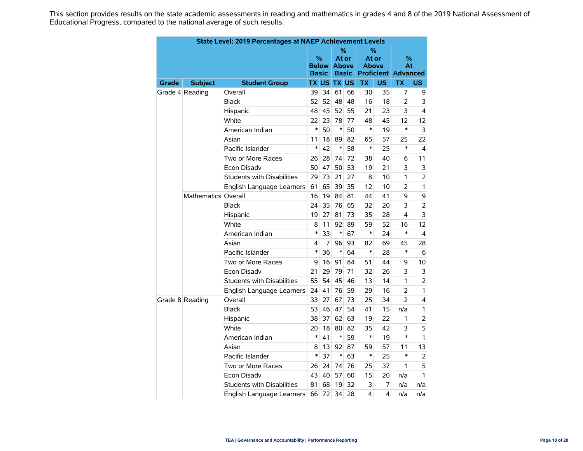This section provides results on the state academic assessments in reading and mathematics in grades 4 and 8 of the 2019 National Assessment of Educational Progress, compared to the national average of such results.

|       | State Level: 2019 Percentages at NAEP Achievement Levels<br>%<br>℅ |                                   |        |                              |                    |                              |              |           |                                  |                         |  |  |  |
|-------|--------------------------------------------------------------------|-----------------------------------|--------|------------------------------|--------------------|------------------------------|--------------|-----------|----------------------------------|-------------------------|--|--|--|
|       |                                                                    |                                   |        |                              |                    |                              |              |           |                                  |                         |  |  |  |
|       |                                                                    |                                   |        | %                            |                    | At or                        | At or        |           | %                                |                         |  |  |  |
|       |                                                                    |                                   |        | <b>Below</b><br><b>Basic</b> |                    | <b>Above</b><br><b>Basic</b> | <b>Above</b> |           | At<br><b>Proficient Advanced</b> |                         |  |  |  |
| Grade | <b>Subject</b>                                                     | <b>Student Group</b>              |        |                              | <b>TX US TX US</b> |                              | <b>TX</b>    | <b>US</b> | <b>TX</b>                        | US.                     |  |  |  |
|       | Grade 4 Reading                                                    | Overall                           | 39     | 34                           | 61                 | 66                           | 30           | 35        | 7                                | 9                       |  |  |  |
|       |                                                                    | <b>Black</b>                      | 52     | 52                           | 48                 | 48                           | 16           | 18        | $\overline{2}$                   | 3                       |  |  |  |
|       |                                                                    | Hispanic                          | 48     | 45                           | 52                 | 55                           | 21           | 23        | 3                                | $\overline{4}$          |  |  |  |
|       |                                                                    | White                             | 22     | 23                           | 78                 | 77                           | 48           | 45        | 12                               | 12                      |  |  |  |
|       |                                                                    | American Indian                   | $\ast$ | 50                           | $\ast$             | 50                           | $\ast$       | 19        | $\ast$                           | 3                       |  |  |  |
|       |                                                                    | Asian                             | 11     | 18                           | 89                 | 82                           | 65           | 57        | 25                               | 22                      |  |  |  |
|       |                                                                    | Pacific Islander                  | $\ast$ | 42                           | $\ast$             | 58                           | $\ast$       | 25        | $\ast$                           | $\overline{4}$          |  |  |  |
|       |                                                                    | Two or More Races                 | 26     | 28                           | 74                 | 72                           | 38           | 40        | 6                                | 11                      |  |  |  |
|       |                                                                    | <b>Econ Disadv</b>                | 50     | 47                           | 50                 | 53                           | 19           | 21        | 3                                | 3                       |  |  |  |
|       |                                                                    | Students with Disabilities        | 79     | 73                           | 21                 | 27                           | 8            | 10        | 1                                | $\overline{2}$          |  |  |  |
|       |                                                                    | English Language Learners         | 61     | 65                           | 39                 | 35                           | 12           | 10        | $\overline{2}$                   | $\mathbf{1}$            |  |  |  |
|       | Mathematics Overall                                                |                                   | 16     | 19                           | 84                 | 81                           | 44           | 41        | 9                                | $\mathsf{g}$            |  |  |  |
|       |                                                                    | <b>Black</b>                      | 24     | 35                           | 76                 | 65                           | 32           | 20        | 3                                | $\overline{2}$          |  |  |  |
|       |                                                                    | Hispanic                          | 19     | 27                           | 81                 | 73                           | 35           | 28        | 4                                | 3                       |  |  |  |
|       |                                                                    | White                             | 8      | 11                           | 92                 | 89                           | 59           | 52        | 16                               | 12                      |  |  |  |
|       |                                                                    | American Indian                   | $\ast$ | 33                           | $\ast$             | 67                           | $\ast$       | 24        | $\ast$                           | 4                       |  |  |  |
|       |                                                                    | Asian                             | 4      | 7                            | 96                 | 93                           | 82           | 69        | 45                               | 28                      |  |  |  |
|       |                                                                    | Pacific Islander                  | $\ast$ | 36                           | $\ast$             | 64                           | $\ast$       | 28        | $\ast$                           | 6                       |  |  |  |
|       |                                                                    | Two or More Races                 | 9      | 16                           | 91                 | 84                           | 51           | 44        | 9                                | 10                      |  |  |  |
|       |                                                                    | <b>Econ Disadv</b>                | 21     | 29                           | 79                 | 71                           | 32           | 26        | 3                                | 3                       |  |  |  |
|       |                                                                    | Students with Disabilities        | 55     | 54                           | 45                 | 46                           | 13           | 14        | 1                                | $\overline{2}$          |  |  |  |
|       |                                                                    | English Language Learners         | 24     | 41                           | 76                 | 59                           | 29           | 16        | 2                                | 1                       |  |  |  |
|       | Grade 8 Reading                                                    | Overall                           | 33     | 27                           | 67                 | 73                           | 25           | 34        | $\overline{2}$                   | $\overline{\mathbf{4}}$ |  |  |  |
|       |                                                                    | <b>Black</b>                      | 53     | 46                           | 47                 | 54                           | 41           | 15        | n/a                              | 1                       |  |  |  |
|       |                                                                    | Hispanic                          | 38     | 37                           | 62                 | 63                           | 19           | 22        | 1                                | $\overline{2}$          |  |  |  |
|       |                                                                    | White                             | 20     | 18                           | 80                 | 82                           | 35           | 42        | 3                                | 5                       |  |  |  |
|       |                                                                    | American Indian                   | $\ast$ | 41                           | $\ast$             | 59                           | $\ast$       | 19        | $\ast$                           | 1                       |  |  |  |
|       |                                                                    | Asian                             | 8      | 13                           | 92                 | 87                           | 59           | 57        | 11                               | 13                      |  |  |  |
|       |                                                                    | Pacific Islander                  | $\ast$ | 37                           | $\ast$             | 63                           | $\ast$       | 25        | $\ast$                           | 2                       |  |  |  |
|       |                                                                    | Two or More Races                 | 26     | 24                           | 74                 | 76                           | 25           | 37        | 1                                | 5                       |  |  |  |
|       |                                                                    | Econ Disadv                       | 43     | 40                           | 57                 | 60                           | 15           | 20        | n/a                              | 1                       |  |  |  |
|       |                                                                    | <b>Students with Disabilities</b> | 81     | 68                           | 19                 | 32                           | 3            | 7         | n/a                              | n/a                     |  |  |  |
|       |                                                                    | English Language Learners         | 66     | 72                           | 34                 | 28                           | 4            | 4         | n/a                              | n/a                     |  |  |  |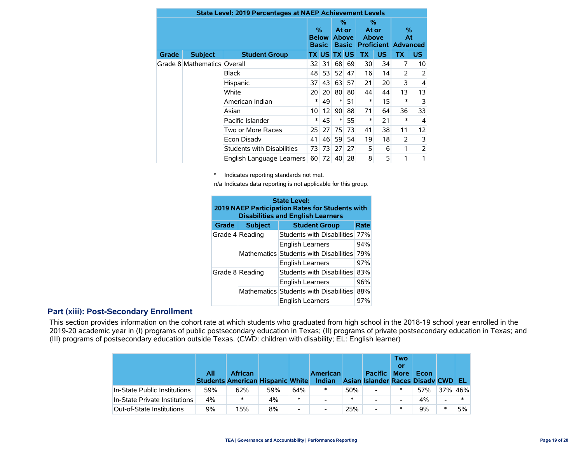| <b>State Level: 2019 Percentages at NAEP Achievement Levels</b> |                             |                                   |    |                                   |        |                                            |    |                     |                |                                       |    |    |
|-----------------------------------------------------------------|-----------------------------|-----------------------------------|----|-----------------------------------|--------|--------------------------------------------|----|---------------------|----------------|---------------------------------------|----|----|
|                                                                 |                             |                                   |    | %<br><b>Below</b><br><b>Basic</b> |        | %<br>At or<br><b>Above</b><br><b>Basic</b> |    | %<br>At or<br>Above |                | %<br>At<br><b>Proficient Advanced</b> |    |    |
| Grade                                                           | <b>Subject</b>              | <b>Student Group</b>              |    | <b>TX US</b>                      |        | <b>TX US</b>                               | ТX | <b>US</b>           | ТX             | <b>US</b>                             |    |    |
|                                                                 | Grade 8 Mathematics Overall |                                   | 32 | 31                                | 68     | 69                                         | 30 | 34                  | 7              | 10                                    |    |    |
|                                                                 |                             | Black                             | 48 | 53                                | 52     | 47                                         | 16 | 14                  | $\overline{2}$ | 2                                     |    |    |
|                                                                 |                             | Hispanic                          | 37 | 43                                | 63     | 57                                         | 21 | 20                  | 3              | 4                                     |    |    |
|                                                                 |                             |                                   |    | White                             | 20     | 20                                         | 80 | 80                  | 44             | 44                                    | 13 | 13 |
|                                                                 |                             | American Indian                   | ∗  | 49                                | *      | 51                                         | ∗  | 15                  | $\ast$         | 3                                     |    |    |
|                                                                 |                             | Asian                             | 10 | 12                                | 90     | 88                                         | 71 | 64                  | 36             | 33                                    |    |    |
|                                                                 |                             | Pacific Islander                  | ∗  | 45                                | $\ast$ | 55                                         | *  | 21                  | *              | 4                                     |    |    |
|                                                                 |                             | Two or More Races                 | 25 | 27                                | 75     | 73                                         | 41 | 38                  | 11             | 12                                    |    |    |
|                                                                 |                             | Econ Disady                       |    | 46                                | 59     | 54                                         | 19 | 18                  | 2              | 3                                     |    |    |
|                                                                 |                             | <b>Students with Disabilities</b> | 73 | 73                                | 27     | 27                                         | 5  | 6                   | 1              | 2                                     |    |    |
|                                                                 |                             | English Language Learners         | 60 | 72                                | 40     | 28                                         | 8  | 5                   | 1              | 1                                     |    |    |

\* Indicates reporting standards not met.

n/a Indicates data reporting is not applicable for this group.

| <b>State Level:</b><br>2019 NAEP Participation Rates for Students with<br><b>Disabilities and English Learners</b> |                 |                                        |      |  |  |  |  |  |  |  |
|--------------------------------------------------------------------------------------------------------------------|-----------------|----------------------------------------|------|--|--|--|--|--|--|--|
| Grade                                                                                                              | <b>Subject</b>  | <b>Student Group</b>                   | Rate |  |  |  |  |  |  |  |
|                                                                                                                    | Grade 4 Reading | Students with Disabilities             | 77%  |  |  |  |  |  |  |  |
|                                                                                                                    |                 | English Learners                       | 94%  |  |  |  |  |  |  |  |
|                                                                                                                    |                 | Mathematics Students with Disabilities | 79%  |  |  |  |  |  |  |  |
|                                                                                                                    |                 | <b>English Learners</b>                | 97%  |  |  |  |  |  |  |  |
|                                                                                                                    | Grade 8 Reading | Students with Disabilities             | 83%  |  |  |  |  |  |  |  |
|                                                                                                                    |                 | <b>English Learners</b>                | 96%  |  |  |  |  |  |  |  |
|                                                                                                                    |                 | Mathematics Students with Disabilities | 88%  |  |  |  |  |  |  |  |
|                                                                                                                    |                 | <b>English Learners</b>                | 97%  |  |  |  |  |  |  |  |

#### **Part (xiii): Post-Secondary Enrollment**

This section provides information on the cohort rate at which students who graduated from high school in the 2018-19 school year enrolled in the 2019-20 academic year in (I) programs of public postsecondary education in Texas; (II) programs of private postsecondary education in Texas; and (III) programs of postsecondary education outside Texas. (CWD: children with disability; EL: English learner)

|                               | All | <b>African</b><br><b>Students American Hispanic White</b> |     |        | <b>American</b><br>Indian |     | <b>Pacific</b><br>Asian Islander Races Disady CWD EL | Two<br>Οľ<br><b>More</b> | Econ  |                          |    |
|-------------------------------|-----|-----------------------------------------------------------|-----|--------|---------------------------|-----|------------------------------------------------------|--------------------------|-------|--------------------------|----|
| In-State Public Institutions  | 59% | 62%                                                       | 59% | 64%    | ∗                         | 50% | $\overline{\phantom{0}}$                             | *                        | 57%   | 37% 46%                  |    |
| In-State Private Institutions | 4%  | $\ast$                                                    | 4%  | $\ast$ | $\overline{a}$            | ∗   | $\overline{\phantom{0}}$                             | $\overline{\phantom{0}}$ | $4\%$ | $\overline{\phantom{0}}$ |    |
| Out-of-State Institutions     | 9%  | 15%                                                       | 8%  |        | $\overline{\phantom{a}}$  | 25% |                                                      | *                        | 9%    | $\ast$                   | 5% |